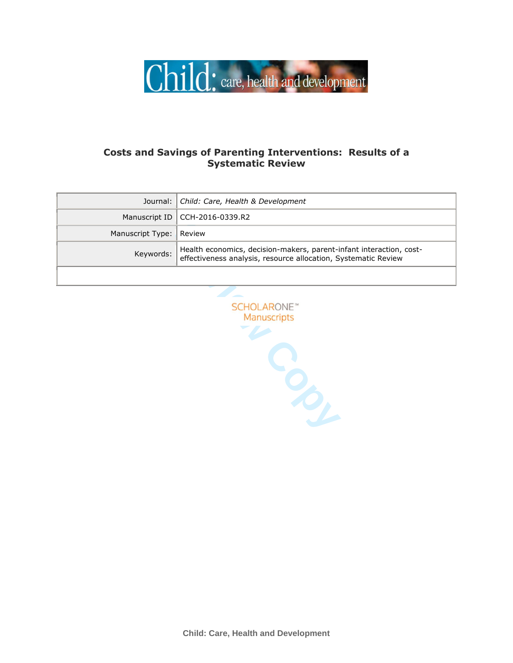

# **Costs and Savings of Parenting Interventions: Results of a Systematic Review**

|                         | Journal: Child: Care, Health & Development                                                                                            |
|-------------------------|---------------------------------------------------------------------------------------------------------------------------------------|
|                         | Manuscript ID   CCH-2016-0339.R2                                                                                                      |
| Manuscript Type: Review |                                                                                                                                       |
| Keywords:               | Health economics, decision-makers, parent-infant interaction, cost-<br>effectiveness analysis, resource allocation, Systematic Review |
|                         |                                                                                                                                       |

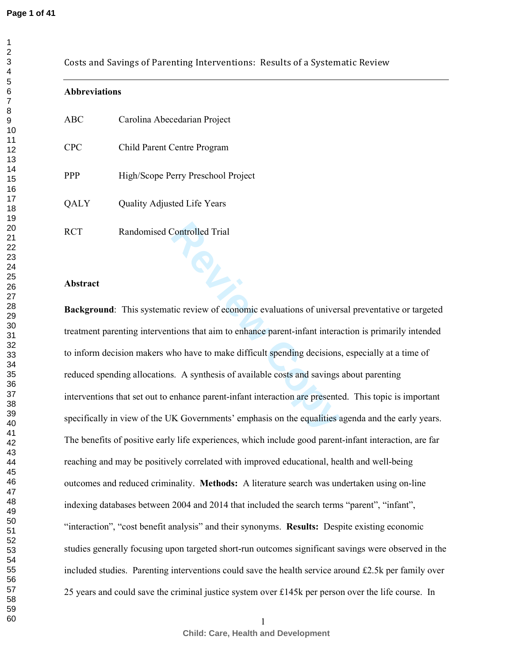|            | Costs and Savings of Parenting Interventions: Results of a Systematic Review                           |
|------------|--------------------------------------------------------------------------------------------------------|
|            | <b>Abbreviations</b>                                                                                   |
| <b>ABC</b> | Carolina Abecedarian Project                                                                           |
| <b>CPC</b> | Child Parent Centre Program                                                                            |
| PPP        | High/Scope Perry Preschool Project                                                                     |
| QALY       | Quality Adjusted Life Years                                                                            |
| <b>RCT</b> | Randomised Controlled Trial                                                                            |
|            |                                                                                                        |
| Abstract   |                                                                                                        |
|            | Background: This systematic review of economic evaluations of universal preventative or targeted       |
|            | treatment parenting interventions that aim to enhance parent-infant interaction is primarily intended  |
|            | to inform decision makers who have to make difficult spending decisions, especially at a time of       |
|            | reduced spending allocations. A synthesis of available costs and savings about parenting               |
|            | interventions that set out to enhance parent-infant interaction are presented. This topic is important |
|            | specifically in view of the UK Governments' emphasis on the equalities agenda and the early years.     |
|            | The benefits of positive early life experiences, which include good parent-infant interaction, are far |
|            | reaching and may be positively correlated with improved educational, health and well-being             |
|            | outcomes and reduced criminality. Methods: A literature search was undertaken using on-line            |
|            | indexing databases between 2004 and 2014 that included the search terms "parent", "infant",            |
|            | "interaction", "cost benefit analysis" and their synonyms. Results: Despite existing economic          |
|            | studies generally focusing upon targeted short-run outcomes significant savings were observed in the   |

included studies. Parenting interventions could save the health service around  $£2.5k$  per family over

25 years and could save the criminal justice system over £145k per person over the life course. In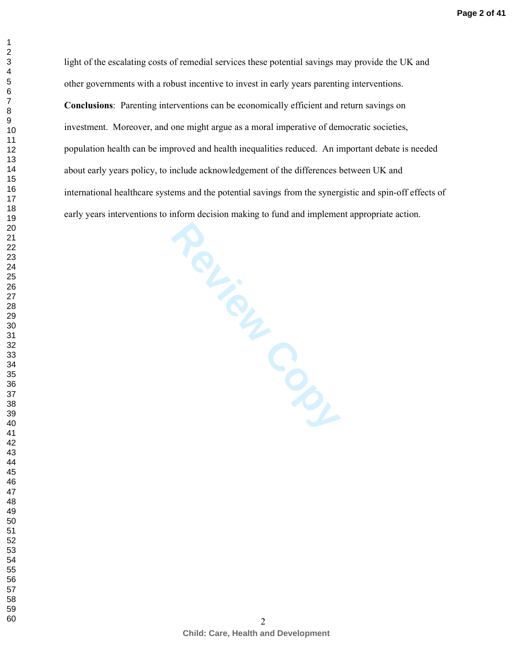**Page 2 of 41**

light of the escalating costs of remedial services these potential savings may provide the UK and other governments with a robust incentive to invest in early years parenting interventions.

**Review Contracts Conclusions**: Parenting interventions can be economically efficient and return savings on investment. Moreover, and one might argue as a moral imperative of democratic societies, population health can be improved and health inequalities reduced. An important debate is needed about early years policy, to include acknowledgement of the differences between UK and international healthcare systems and the potential savings from the synergistic and spin-off effects of early years interventions to inform decision making to fund and implement appropriate action.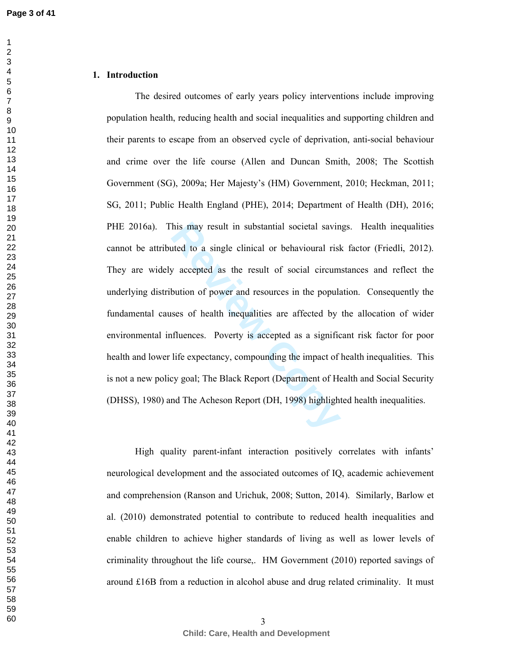## **1. Introduction**

his may result in substantial societal savinated to a single clinical or behavioural risk<br>g accepted as the result of social circum<br>bution of power and resources in the popula<br>sess of health inequalities are affected by<br>fl The desired outcomes of early years policy interventions include improving population health, reducing health and social inequalities and supporting children and their parents to escape from an observed cycle of deprivation, anti-social behaviour and crime over the life course (Allen and Duncan Smith, 2008; The Scottish Government (SG), 2009a; Her Majesty's (HM) Government, 2010; Heckman, 2011; SG, 2011; Public Health England (PHE), 2014; Department of Health (DH), 2016; PHE 2016a). This may result in substantial societal savings. Health inequalities cannot be attributed to a single clinical or behavioural risk factor (Friedli, 2012). They are widely accepted as the result of social circumstances and reflect the underlying distribution of power and resources in the population. Consequently the fundamental causes of health inequalities are affected by the allocation of wider environmental influences. Poverty is accepted as a significant risk factor for poor health and lower life expectancy, compounding the impact of health inequalities. This is not a new policy goal; The Black Report (Department of Health and Social Security (DHSS), 1980) and The Acheson Report (DH, 1998) highlighted health inequalities.

High quality parent-infant interaction positively correlates with infants' neurological development and the associated outcomes of IQ, academic achievement and comprehension (Ranson and Urichuk, 2008; Sutton, 2014). Similarly, Barlow et al. (2010) demonstrated potential to contribute to reduced health inequalities and enable children to achieve higher standards of living as well as lower levels of criminality throughout the life course,. HM Government (2010) reported savings of around £16B from a reduction in alcohol abuse and drug related criminality. It must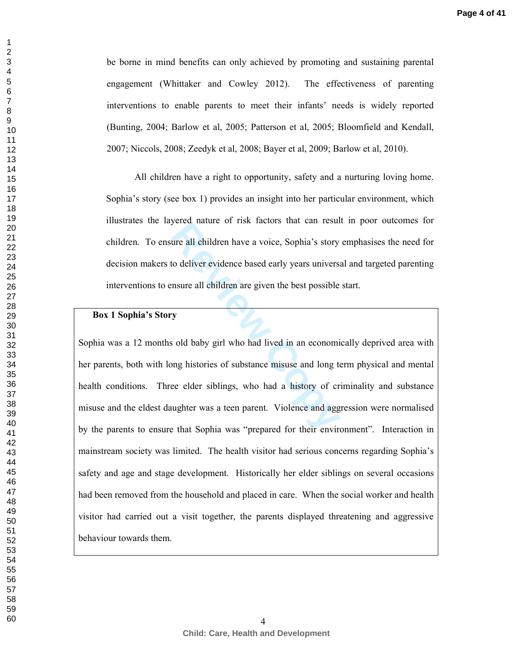be borne in mind benefits can only achieved by promoting and sustaining parental engagement (Whittaker and Cowley 2012). The effectiveness of parenting interventions to enable parents to meet their infants' needs is widely reported (Bunting, 2004; Barlow et al, 2005; Patterson et al, 2005; Bloomfield and Kendall, 2007; Niccols, 2008; Zeedyk et al, 2008; Bayer et al, 2009; Barlow et al, 2010).

All children have a right to opportunity, safety and a nurturing loving home. Sophia's story (see box 1) provides an insight into her particular environment, which illustrates the layered nature of risk factors that can result in poor outcomes for children. To ensure all children have a voice, Sophia's story emphasises the need for decision makers to deliver evidence based early years universal and targeted parenting interventions to ensure all children are given the best possible start.

## **Box 1 Sophia's Story**

Figure all children have a voice, Sophia's story<br>to deliver evidence based early years universal<br>msure all children are given the best possible<br>**Py**<br>is old baby girl who had lived in an economi<br>ong histories of substance m Sophia was a 12 months old baby girl who had lived in an economically deprived area with her parents, both with long histories of substance misuse and long term physical and mental health conditions. Three elder siblings, who had a history of criminality and substance misuse and the eldest daughter was a teen parent. Violence and aggression were normalised by the parents to ensure that Sophia was "prepared for their environment". Interaction in mainstream society was limited. The health visitor had serious concerns regarding Sophia's safety and age and stage development. Historically her elder siblings on several occasions had been removed from the household and placed in care. When the social worker and health visitor had carried out a visit together, the parents displayed threatening and aggressive behaviour towards them.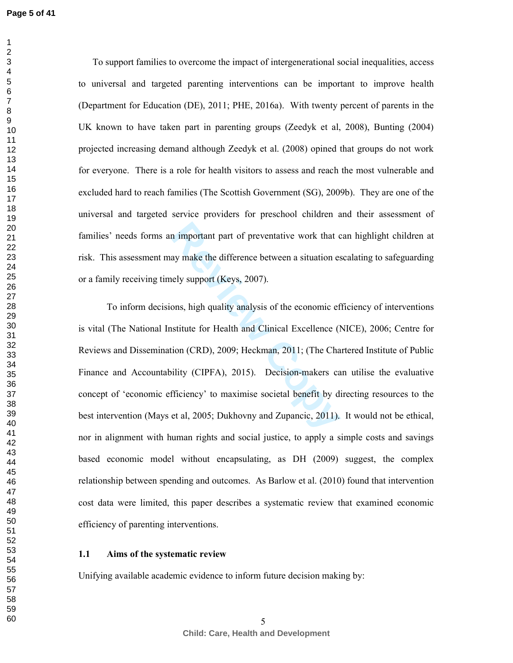To support families to overcome the impact of intergenerational social inequalities, access to universal and targeted parenting interventions can be important to improve health (Department for Education (DE), 2011; PHE, 2016a). With twenty percent of parents in the UK known to have taken part in parenting groups (Zeedyk et al, 2008), Bunting (2004) projected increasing demand although Zeedyk et al. (2008) opined that groups do not work for everyone. There is a role for health visitors to assess and reach the most vulnerable and excluded hard to reach families (The Scottish Government (SG), 2009b). They are one of the universal and targeted service providers for preschool children and their assessment of families' needs forms an important part of preventative work that can highlight children at risk. This assessment may make the difference between a situation escalating to safeguarding or a family receiving timely support (Keys, 2007).

In important part of preventative work that comportant part of preventative work that composed a situation essely support (Keys, 2007).<br>
Subsemant constant in the example of statistic for Health and Clinical Excellence (It To inform decisions, high quality analysis of the economic efficiency of interventions is vital (The National Institute for Health and Clinical Excellence (NICE), 2006; Centre for Reviews and Dissemination (CRD), 2009; Heckman, 2011; (The Chartered Institute of Public Finance and Accountability (CIPFA), 2015). Decision-makers can utilise the evaluative concept of 'economic efficiency' to maximise societal benefit by directing resources to the best intervention (Mays et al, 2005; Dukhovny and Zupancic, 2011). It would not be ethical, nor in alignment with human rights and social justice, to apply a simple costs and savings based economic model without encapsulating, as DH (2009) suggest, the complex relationship between spending and outcomes. As Barlow et al. (2010) found that intervention cost data were limited, this paper describes a systematic review that examined economic efficiency of parenting interventions.

#### **1.1 Aims of the systematic review**

Unifying available academic evidence to inform future decision making by: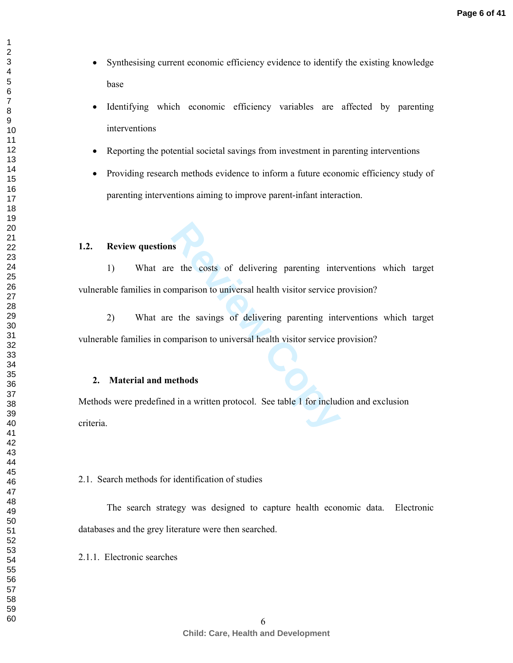- Synthesising current economic efficiency evidence to identify the existing knowledge base
- Identifying which economic efficiency variables are affected by parenting interventions
- Reporting the potential societal savings from investment in parenting interventions
- Providing research methods evidence to inform a future economic efficiency study of parenting interventions aiming to improve parent-infant interaction.

## **1.2. Review questions**

1) What are the costs of delivering parenting interventions which target vulnerable families in comparison to universal health visitor service provision?

**Reference** the costs of delivering parenting inter-<br> **Represents the savings of delivering parenting inter-**<br> **Represents the savings of delivering parenting inter-**<br> **Reference** the savings of delivering parenting inter-2) What are the savings of delivering parenting interventions which target vulnerable families in comparison to universal health visitor service provision?

#### **2. Material and methods**

Methods were predefined in a written protocol. See table 1 for includion and exclusion criteria.

## 2.1. Search methods for identification of studies

The search strategy was designed to capture health economic data. Electronic databases and the grey literature were then searched.

2.1.1. Electronic searches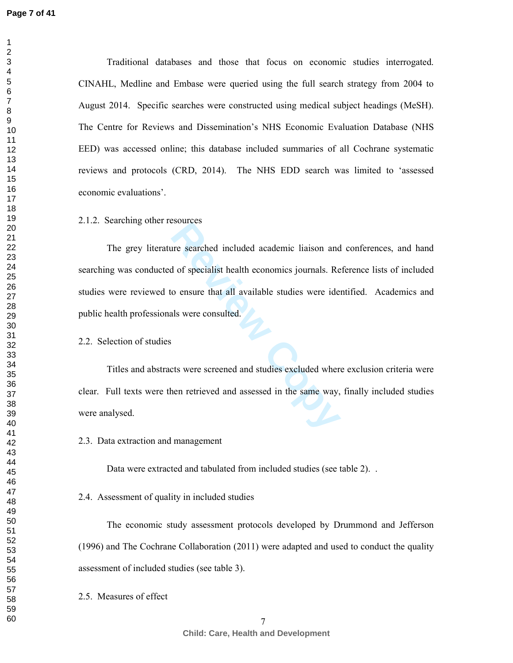Traditional databases and those that focus on economic studies interrogated. CINAHL, Medline and Embase were queried using the full search strategy from 2004 to August 2014. Specific searches were constructed using medical subject headings (MeSH). The Centre for Reviews and Dissemination's NHS Economic Evaluation Database (NHS EED) was accessed online; this database included summaries of all Cochrane systematic reviews and protocols (CRD, 2014). The NHS EDD search was limited to 'assessed economic evaluations'.

2.1.2. Searching other resources

Figures<br>
Interacted included academic liaison and<br>
d of specialist health economics journals. Re<br>
co ensure that all available studies were ideals<br>
were consulted.<br>
External available studies excluded where<br>
the same way,<br> The grey literature searched included academic liaison and conferences, and hand searching was conducted of specialist health economics journals. Reference lists of included studies were reviewed to ensure that all available studies were identified. Academics and public health professionals were consulted.

2.2. Selection of studies

 Titles and abstracts were screened and studies excluded where exclusion criteria were clear. Full texts were then retrieved and assessed in the same way, finally included studies were analysed.

2.3. Data extraction and management

Data were extracted and tabulated from included studies (see table 2). .

2.4. Assessment of quality in included studies

 The economic study assessment protocols developed by Drummond and Jefferson (1996) and The Cochrane Collaboration (2011) were adapted and used to conduct the quality assessment of included studies (see table 3).

2.5. Measures of effect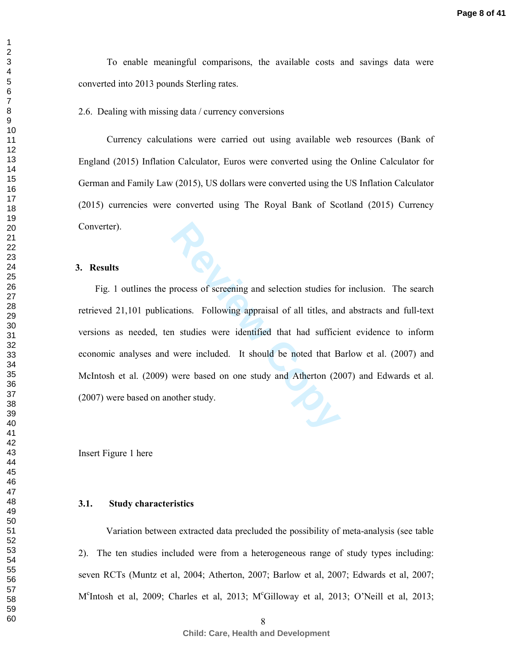To enable meaningful comparisons, the available costs and savings data were converted into 2013 pounds Sterling rates.

2.6. Dealing with missing data / currency conversions

 Currency calculations were carried out using available web resources (Bank of England (2015) Inflation Calculator, Euros were converted using the Online Calculator for German and Family Law (2015), US dollars were converted using the US Inflation Calculator (2015) currencies were converted using The Royal Bank of Scotland (2015) Currency Converter).

#### **3. Results**

process of screening and selection studies for a<br>tions. Following appraisal of all titles, and<br>n studies were identified that had sufficies<br>were included. It should be noted that B<br>were based on one study and Atherton (20<br> Fig. 1 outlines the process of screening and selection studies for inclusion. The search retrieved 21,101 publications. Following appraisal of all titles, and abstracts and full-text versions as needed, ten studies were identified that had sufficient evidence to inform economic analyses and were included. It should be noted that Barlow et al. (2007) and McIntosh et al. (2009) were based on one study and Atherton (2007) and Edwards et al. (2007) were based on another study.

Insert Figure 1 here

## **3.1. Study characteristics**

Variation between extracted data precluded the possibility of meta-analysis (see table 2). The ten studies included were from a heterogeneous range of study types including: seven RCTs (Muntz et al, 2004; Atherton, 2007; Barlow et al, 2007; Edwards et al, 2007; M<sup>c</sup>Intosh et al, 2009; Charles et al, 2013; M<sup>c</sup>Gilloway et al, 2013; O'Neill et al, 2013;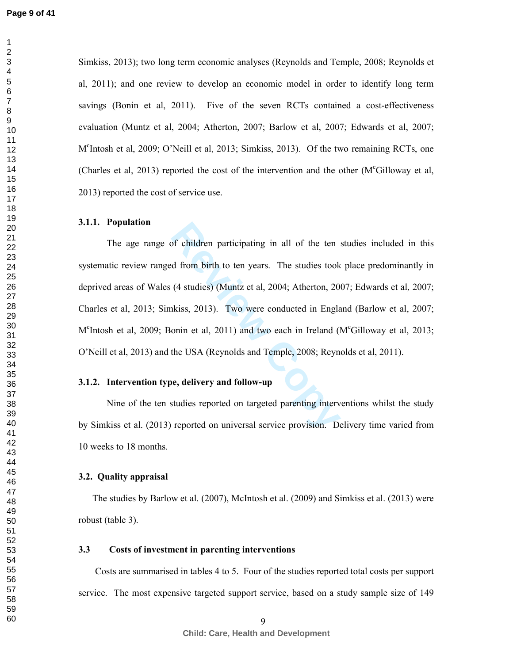Simkiss, 2013); two long term economic analyses (Reynolds and Temple, 2008; Reynolds et al, 2011); and one review to develop an economic model in order to identify long term savings (Bonin et al, 2011). Five of the seven RCTs contained a cost-effectiveness evaluation (Muntz et al, 2004; Atherton, 2007; Barlow et al, 2007; Edwards et al, 2007;<br>M<sup>c</sup>Intosh et al, 2009; O'Neill et al, 2013; Simkiss, 2013). Of the two remaining RCTs, one (Charles et al, 2013) reported the cost of the intervention and the other (M<sup>c</sup>Gilloway et al, 2013) reported the cost of service use.

### **3.1.1. Population**

of children participating in all of the ten and d from birth to ten years. The studies took (4 studies) (Muntz et al, 2004; Atherton, 20 akiss, 2013). Two were conducted in Engla onin et al, 2011) and two each in Ireland ( The age range of children participating in all of the ten studies included in this systematic review ranged from birth to ten years. The studies took place predominantly in deprived areas of Wales (4 studies) (Muntz et al, 2004; Atherton, 2007; Edwards et al, 2007; Charles et al, 2013; Simkiss, 2013). Two were conducted in England (Barlow et al, 2007;<br>M<sup>c</sup>Intosh et al, 2009; Bonin et al, 2011) and two each in Ireland (M<sup>c</sup>Gilloway et al, 2013; O'Neill et al, 2013) and the USA (Reynolds and Temple, 2008; Reynolds et al, 2011).

## **3.1.2. Intervention type, delivery and follow-up**

Nine of the ten studies reported on targeted parenting interventions whilst the study by Simkiss et al. (2013) reported on universal service provision. Delivery time varied from 10 weeks to 18 months.

## **3.2. Quality appraisal**

The studies by Barlow et al. (2007), McIntosh et al. (2009) and Simkiss et al. (2013) were robust (table 3).

## **3.3 Costs of investment in parenting interventions**

Costs are summarised in tables 4 to 5. Four of the studies reported total costs per support service. The most expensive targeted support service, based on a study sample size of 149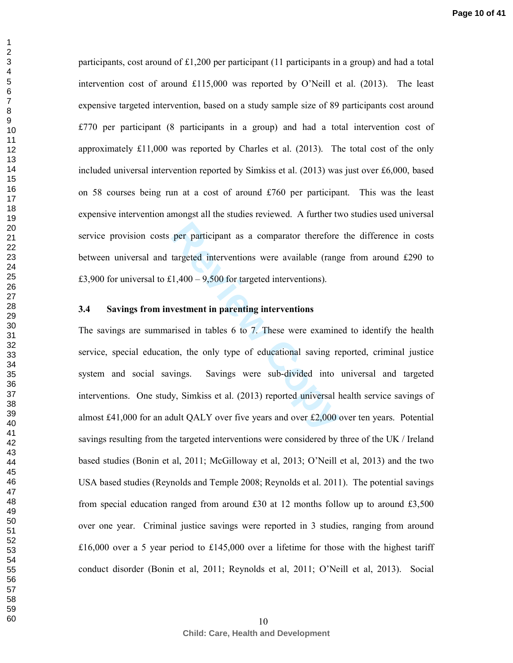participants, cost around of £1,200 per participant (11 participants in a group) and had a total intervention cost of around £115,000 was reported by O'Neill et al. (2013). The least expensive targeted intervention, based on a study sample size of 89 participants cost around £770 per participant (8 participants in a group) and had a total intervention cost of approximately £11,000 was reported by Charles et al. (2013). The total cost of the only included universal intervention reported by Simkiss et al. (2013) was just over £6,000, based on 58 courses being run at a cost of around £760 per participant. This was the least expensive intervention amongst all the studies reviewed. A further two studies used universal service provision costs per participant as a comparator therefore the difference in costs between universal and targeted interventions were available (range from around £290 to £3,900 for universal to £1,400 – 9,500 for targeted interventions).

## **3.4 Savings from investment in parenting interventions**

per participant as a comparator therefore<br>targeted interventions were available (rang<br>1,400 – 9,500 for targeted interventions).<br>**vestment in parenting interventions**<br>rised in tables 6 to 7. These were examine<br>on, the onl The savings are summarised in tables 6 to 7. These were examined to identify the health service, special education, the only type of educational saving reported, criminal justice system and social savings. Savings were sub-divided into universal and targeted interventions. One study, Simkiss et al. (2013) reported universal health service savings of almost £41,000 for an adult QALY over five years and over £2,000 over ten years. Potential savings resulting from the targeted interventions were considered by three of the UK / Ireland based studies (Bonin et al, 2011; McGilloway et al, 2013; O'Neill et al, 2013) and the two USA based studies (Reynolds and Temple 2008; Reynolds et al. 2011). The potential savings from special education ranged from around  $\pounds 30$  at 12 months follow up to around  $\pounds 3,500$ over one year. Criminal justice savings were reported in 3 studies, ranging from around £16,000 over a 5 year period to £145,000 over a lifetime for those with the highest tariff conduct disorder (Bonin et al, 2011; Reynolds et al, 2011; O'Neill et al, 2013). Social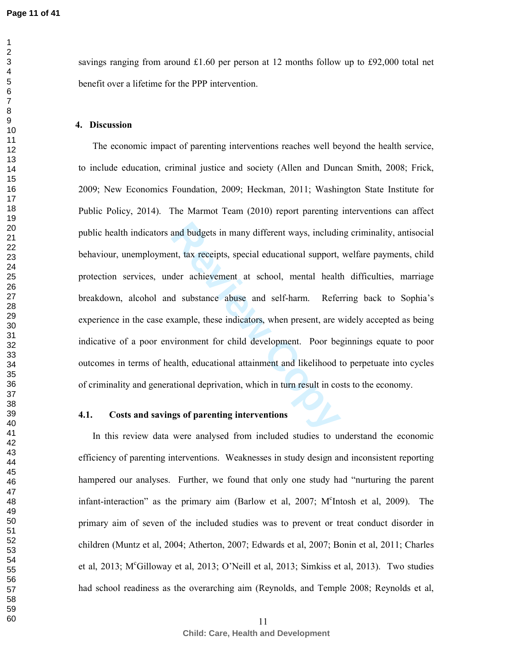**Page 11 of 41**

savings ranging from around £1.60 per person at 12 months follow up to £92,000 total net benefit over a lifetime for the PPP intervention.

## **4. Discussion**

and budgets in many different ways, includinent, tax receipts, special educational support, der achievement at school, mental health d substance abuse and self-harm. Refer example, these indicators, when present, are v wir The economic impact of parenting interventions reaches well beyond the health service, to include education, criminal justice and society (Allen and Duncan Smith, 2008; Frick, 2009; New Economics Foundation, 2009; Heckman, 2011; Washington State Institute for Public Policy, 2014). The Marmot Team (2010) report parenting interventions can affect public health indicators and budgets in many different ways, including criminality, antisocial behaviour, unemployment, tax receipts, special educational support, welfare payments, child protection services, under achievement at school, mental health difficulties, marriage breakdown, alcohol and substance abuse and self-harm. Referring back to Sophia's experience in the case example, these indicators, when present, are widely accepted as being indicative of a poor environment for child development. Poor beginnings equate to poor outcomes in terms of health, educational attainment and likelihood to perpetuate into cycles of criminality and generational deprivation, which in turn result in costs to the economy.

## **4.1. Costs and savings of parenting interventions**

In this review data were analysed from included studies to understand the economic efficiency of parenting interventions. Weaknesses in study design and inconsistent reporting hampered our analyses. Further, we found that only one study had "nurturing the parent infant-interaction" as the primary aim (Barlow et al, 2007; M<sup>c</sup>Intosh et al, 2009). The primary aim of seven of the included studies was to prevent or treat conduct disorder in children (Muntz et al, 2004; Atherton, 2007; Edwards et al, 2007; Bonin et al, 2011; Charles et al, 2013; M<sup>c</sup>Gilloway et al, 2013; O'Neill et al, 2013; Simkiss et al, 2013). Two studies had school readiness as the overarching aim (Reynolds, and Temple 2008; Reynolds et al,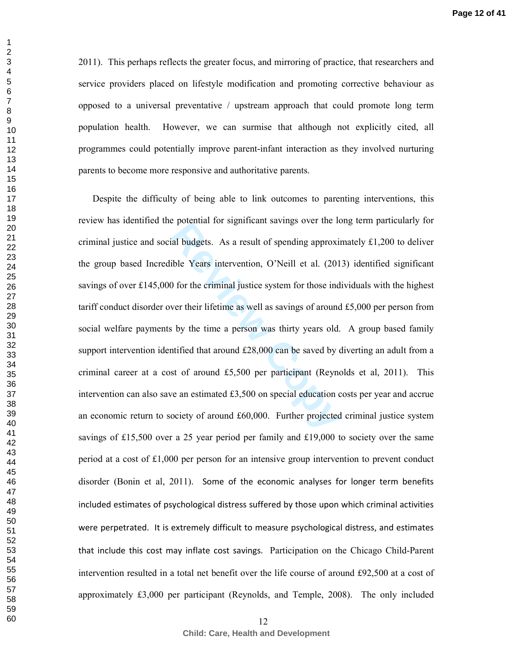2011). This perhaps reflects the greater focus, and mirroring of practice, that researchers and service providers placed on lifestyle modification and promoting corrective behaviour as opposed to a universal preventative / upstream approach that could promote long term population health. However, we can surmise that although not explicitly cited, all programmes could potentially improve parent-infant interaction as they involved nurturing parents to become more responsive and authoritative parents.

al budgets. As a result of spending approximate savings over the R<br>al budgets. As a result of spending approximation<br>ble Years intervention, O'Neill et al. (201)<br>of the criminal justice system for those ind<br>wer their life Despite the difficulty of being able to link outcomes to parenting interventions, this review has identified the potential for significant savings over the long term particularly for criminal justice and social budgets. As a result of spending approximately  $\pounds$ 1,200 to deliver the group based Incredible Years intervention, O'Neill et al. (2013) identified significant savings of over £145,000 for the criminal justice system for those individuals with the highest tariff conduct disorder over their lifetime as well as savings of around £5,000 per person from social welfare payments by the time a person was thirty years old. A group based family support intervention identified that around £28,000 can be saved by diverting an adult from a criminal career at a cost of around £5,500 per participant (Reynolds et al, 2011). This intervention can also save an estimated £3,500 on special education costs per year and accrue an economic return to society of around £60,000. Further projected criminal justice system savings of £15,500 over a 25 year period per family and £19,000 to society over the same period at a cost of £1,000 per person for an intensive group intervention to prevent conduct disorder (Bonin et al, 2011). Some of the economic analyses for longer term benefits included estimates of psychological distress suffered by those upon which criminal activities were perpetrated. It is extremely difficult to measure psychological distress, and estimates that include this cost may inflate cost savings. Participation on the Chicago Child-Parent intervention resulted in a total net benefit over the life course of around £92,500 at a cost of approximately £3,000 per participant (Reynolds, and Temple, 2008). The only included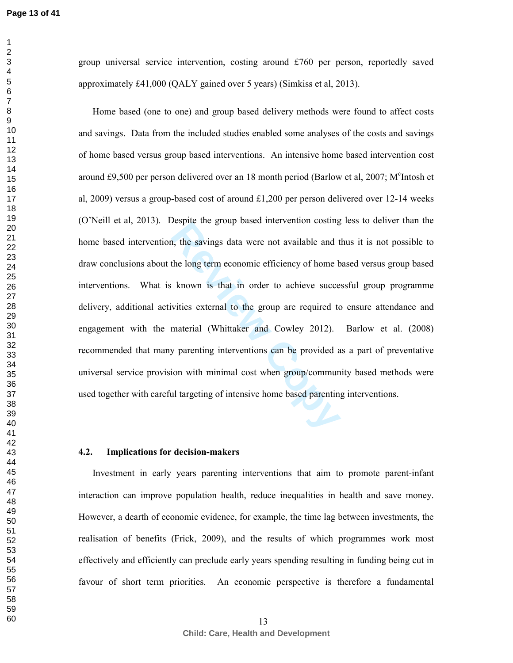$\mathbf{1}$ 

group universal service intervention, costing around £760 per person, reportedly saved approximately £41,000 (QALY gained over 5 years) (Simkiss et al, 2013).

**Respire the group based intervention costing**<br>**Review the savings data were not available and t**<br>**the long term economic efficiency of home b**<br>**known is that in order to achieve succe**<br>vities external to the group are req Home based (one to one) and group based delivery methods were found to affect costs and savings. Data from the included studies enabled some analyses of the costs and savings of home based versus group based interventions. An intensive home based intervention cost around £9,500 per person delivered over an 18 month period (Barlow et al, 2007; M<sup>c</sup>Intosh et al, 2009) versus a group-based cost of around  $\pounds1,200$  per person delivered over 12-14 weeks (O'Neill et al, 2013). Despite the group based intervention costing less to deliver than the home based intervention, the savings data were not available and thus it is not possible to draw conclusions about the long term economic efficiency of home based versus group based interventions. What is known is that in order to achieve successful group programme delivery, additional activities external to the group are required to ensure attendance and engagement with the material (Whittaker and Cowley 2012). Barlow et al. (2008) recommended that many parenting interventions can be provided as a part of preventative universal service provision with minimal cost when group/community based methods were used together with careful targeting of intensive home based parenting interventions.

## **4.2. Implications for decision-makers**

Investment in early years parenting interventions that aim to promote parent-infant interaction can improve population health, reduce inequalities in health and save money. However, a dearth of economic evidence, for example, the time lag between investments, the realisation of benefits (Frick, 2009), and the results of which programmes work most effectively and efficiently can preclude early years spending resulting in funding being cut in favour of short term priorities. An economic perspective is therefore a fundamental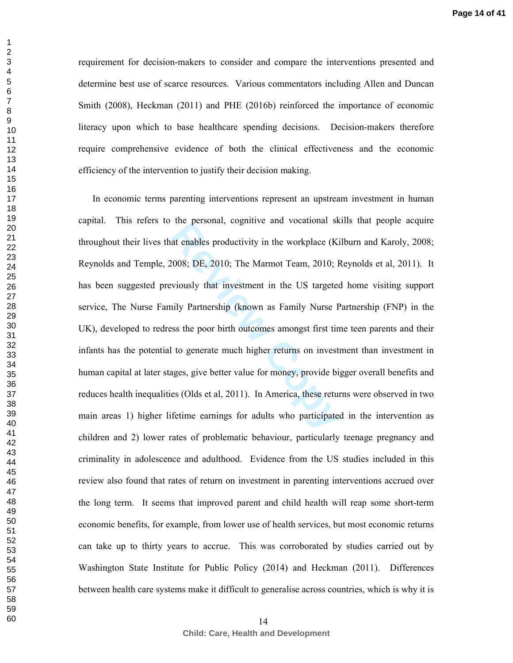requirement for decision-makers to consider and compare the interventions presented and determine best use of scarce resources. Various commentators including Allen and Duncan Smith (2008), Heckman (2011) and PHE (2016b) reinforced the importance of economic literacy upon which to base healthcare spending decisions. Decision-makers therefore require comprehensive evidence of both the clinical effectiveness and the economic efficiency of the intervention to justify their decision making.

at enables productivity in the workplace (Ki<br>
2008; DE, 2010; The Marmot Team, 2010; R<br>
Reviously that investment in the US targeted<br>
reviously that investment in the US targeted<br>
reviously Partnership (known as Family Nur In economic terms parenting interventions represent an upstream investment in human capital. This refers to the personal, cognitive and vocational skills that people acquire throughout their lives that enables productivity in the workplace (Kilburn and Karoly, 2008; Reynolds and Temple, 2008; DE, 2010; The Marmot Team, 2010; Reynolds et al, 2011). It has been suggested previously that investment in the US targeted home visiting support service, The Nurse Family Partnership (known as Family Nurse Partnership (FNP) in the UK), developed to redress the poor birth outcomes amongst first time teen parents and their infants has the potential to generate much higher returns on investment than investment in human capital at later stages, give better value for money, provide bigger overall benefits and reduces health inequalities (Olds et al, 2011). In America, these returns were observed in two main areas 1) higher lifetime earnings for adults who participated in the intervention as children and 2) lower rates of problematic behaviour, particularly teenage pregnancy and criminality in adolescence and adulthood. Evidence from the US studies included in this review also found that rates of return on investment in parenting interventions accrued over the long term. It seems that improved parent and child health will reap some short-term economic benefits, for example, from lower use of health services, but most economic returns can take up to thirty years to accrue. This was corroborated by studies carried out by Washington State Institute for Public Policy (2014) and Heckman (2011). Differences between health care systems make it difficult to generalise across countries, which is why it is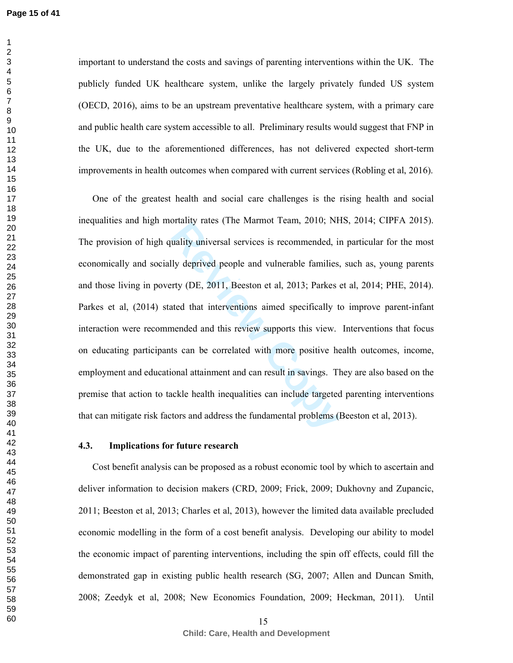$\mathbf{1}$ 

important to understand the costs and savings of parenting interventions within the UK. The publicly funded UK healthcare system, unlike the largely privately funded US system (OECD, 2016), aims to be an upstream preventative healthcare system, with a primary care and public health care system accessible to all. Preliminary results would suggest that FNP in the UK, due to the aforementioned differences, has not delivered expected short-term improvements in health outcomes when compared with current services (Robling et al, 2016).

briantly rates (The Mannot Team, 2010, 1811<br>
uality universal services is recommended, in<br>
lly deprived people and vulnerable families,<br>
rty (DE, 2011, Beeston et al, 2013; Parkes et<br>
ated that interventions aimed specific One of the greatest health and social care challenges is the rising health and social inequalities and high mortality rates (The Marmot Team, 2010; NHS, 2014; CIPFA 2015). The provision of high quality universal services is recommended, in particular for the most economically and socially deprived people and vulnerable families, such as, young parents and those living in poverty (DE, 2011, Beeston et al, 2013; Parkes et al, 2014; PHE, 2014). Parkes et al, (2014) stated that interventions aimed specifically to improve parent-infant interaction were recommended and this review supports this view. Interventions that focus on educating participants can be correlated with more positive health outcomes, income, employment and educational attainment and can result in savings. They are also based on the premise that action to tackle health inequalities can include targeted parenting interventions that can mitigate risk factors and address the fundamental problems (Beeston et al, 2013).

### **4.3. Implications for future research**

Cost benefit analysis can be proposed as a robust economic tool by which to ascertain and deliver information to decision makers (CRD, 2009; Frick, 2009; Dukhovny and Zupancic, 2011; Beeston et al, 2013; Charles et al, 2013), however the limited data available precluded economic modelling in the form of a cost benefit analysis. Developing our ability to model the economic impact of parenting interventions, including the spin off effects, could fill the demonstrated gap in existing public health research (SG, 2007; Allen and Duncan Smith, 2008; Zeedyk et al, 2008; New Economics Foundation, 2009; Heckman, 2011). Until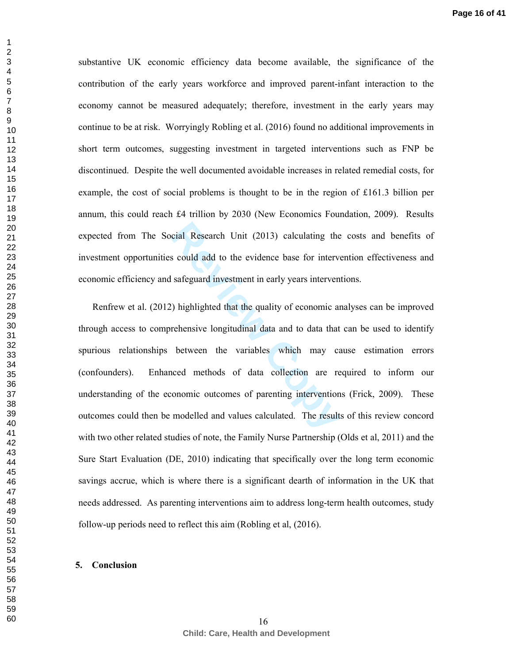substantive UK economic efficiency data become available, the significance of the contribution of the early years workforce and improved parent-infant interaction to the economy cannot be measured adequately; therefore, investment in the early years may continue to be at risk. Worryingly Robling et al. (2016) found no additional improvements in short term outcomes, suggesting investment in targeted interventions such as FNP be discontinued. Despite the well documented avoidable increases in related remedial costs, for example, the cost of social problems is thought to be in the region of £161.3 billion per annum, this could reach £4 trillion by 2030 (New Economics Foundation, 2009). Results expected from The Social Research Unit (2013) calculating the costs and benefits of investment opportunities could add to the evidence base for intervention effectiveness and economic efficiency and safeguard investment in early years interventions.

cial Research Unit (2013) calculating the<br>s could add to the evidence base for interve<br>safeguard investment in early years interven<br>()) highlighted that the quality of economic are<br>rehensive longitudinal data and to data t Renfrew et al. (2012) highlighted that the quality of economic analyses can be improved through access to comprehensive longitudinal data and to data that can be used to identify spurious relationships between the variables which may cause estimation errors (confounders). Enhanced methods of data collection are required to inform our understanding of the economic outcomes of parenting interventions (Frick, 2009). These outcomes could then be modelled and values calculated. The results of this review concord with two other related studies of note, the Family Nurse Partnership (Olds et al, 2011) and the Sure Start Evaluation (DE, 2010) indicating that specifically over the long term economic savings accrue, which is where there is a significant dearth of information in the UK that needs addressed. As parenting interventions aim to address long-term health outcomes, study follow-up periods need to reflect this aim (Robling et al, (2016).

#### **5. Conclusion**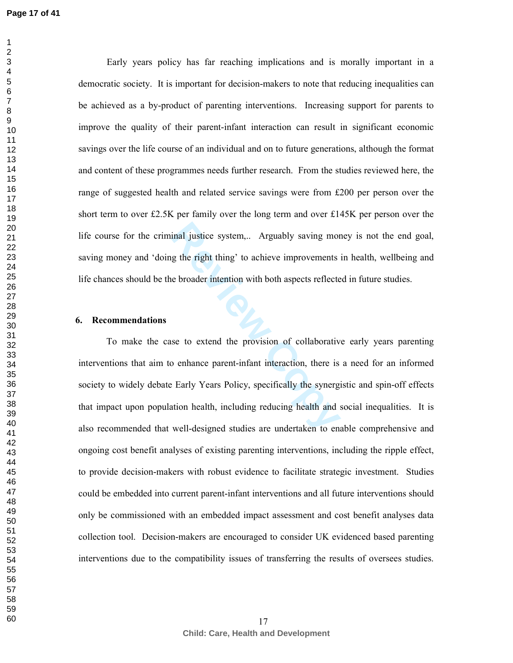Early years policy has far reaching implications and is morally important in a democratic society. It is important for decision-makers to note that reducing inequalities can be achieved as a by-product of parenting interventions. Increasing support for parents to improve the quality of their parent-infant interaction can result in significant economic savings over the life course of an individual and on to future generations, although the format and content of these programmes needs further research. From the studies reviewed here, the range of suggested health and related service savings were from £200 per person over the short term to over £2.5K per family over the long term and over £145K per person over the life course for the criminal justice system,.. Arguably saving money is not the end goal, saving money and 'doing the right thing' to achieve improvements in health, wellbeing and life chances should be the broader intention with both aspects reflected in future studies.

#### **6. Recommendations**

inal justice system,... Arguably saving mor<br>g the right thing' to achieve improvements<br>e broader intention with both aspects reflecte<br>broader intention with both aspects reflecte<br>se to extend the provision of collaborativ<br> To make the case to extend the provision of collaborative early years parenting interventions that aim to enhance parent-infant interaction, there is a need for an informed society to widely debate Early Years Policy, specifically the synergistic and spin-off effects that impact upon population health, including reducing health and social inequalities. It is also recommended that well-designed studies are undertaken to enable comprehensive and ongoing cost benefit analyses of existing parenting interventions, including the ripple effect, to provide decision-makers with robust evidence to facilitate strategic investment. Studies could be embedded into current parent-infant interventions and all future interventions should only be commissioned with an embedded impact assessment and cost benefit analyses data collection tool. Decision-makers are encouraged to consider UK evidenced based parenting interventions due to the compatibility issues of transferring the results of oversees studies.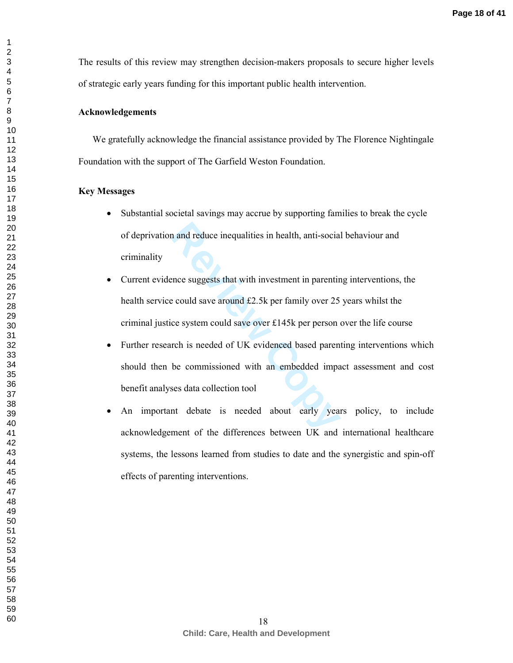The results of this review may strengthen decision-makers proposals to secure higher levels of strategic early years funding for this important public health intervention.

## **Acknowledgements**

We gratefully acknowledge the financial assistance provided by The Florence Nightingale Foundation with the support of The Garfield Weston Foundation.

### **Key Messages**

- Substantial societal savings may accrue by supporting families to break the cycle of deprivation and reduce inequalities in health, anti-social behaviour and criminality
- Current evidence suggests that with investment in parenting interventions, the health service could save around £2.5k per family over 25 years whilst the criminal justice system could save over £145k per person over the life course
- In and reduce inequalities in health, anti-social<br>
Process and reduce inequalities in health, anti-social<br>
Review Could save around £2.5k per family over 25<br>
Review Could save over £145k per person<br>
The is needed of UK evi • Further research is needed of UK evidenced based parenting interventions which should then be commissioned with an embedded impact assessment and cost benefit analyses data collection tool
- An important debate is needed about early years policy, to include acknowledgement of the differences between UK and international healthcare systems, the lessons learned from studies to date and the synergistic and spin-off effects of parenting interventions.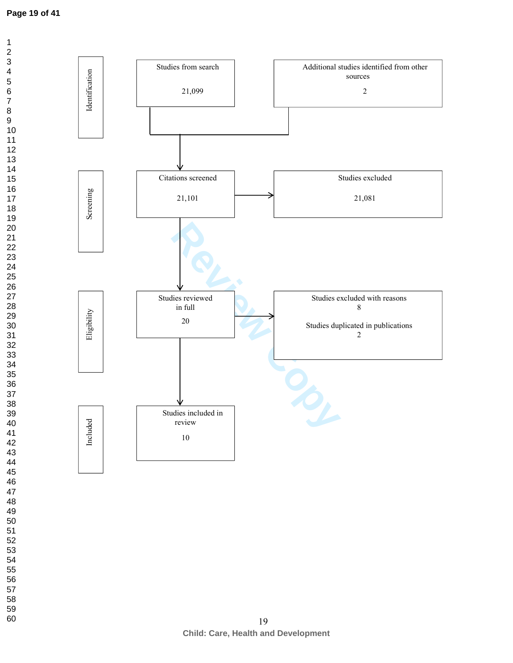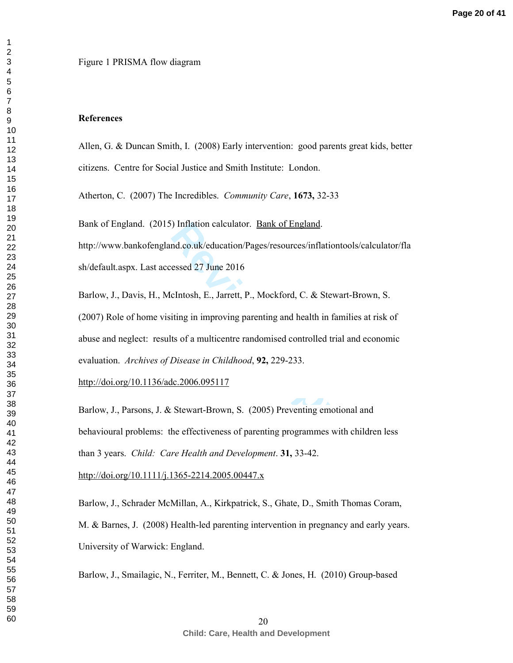## **References**

Allen, G. & Duncan Smith, I. (2008) Early intervention: good parents great kids, better citizens. Centre for Social Justice and Smith Institute: London.

Atherton, C. (2007) The Incredibles. *Community Care*, **1673,** 32-33

Bank of England. (2015) Inflation calculator. Bank of England.

http://www.bankofengland.co.uk/education/Pages/resources/inflationtools/calculator/fla sh/default.aspx. Last accessed 27 June 2016

Final Columbustion Columbustion Columbustion<br>
Review Columbustion Columbustion<br>
Research 27 June 2016<br>
Clartosh, E., Jarrett, P., Mockford, C. & Stewarting in improving parenting and health in far<br>
ts of a multicentre rand Barlow, J., Davis, H., McIntosh, E., Jarrett, P., Mockford, C. & Stewart-Brown, S. (2007) Role of home visiting in improving parenting and health in families at risk of abuse and neglect: results of a multicentre randomised controlled trial and economic evaluation. *Archives of Disease in Childhood*, **92,** 229-233.

http://doi.org/10.1136/adc.2006.095117

Barlow, J., Parsons, J. & Stewart-Brown, S. (2005) Preventing emotional and behavioural problems: the effectiveness of parenting programmes with children less than 3 years. *Child: Care Health and Development*. **31,** 33-42.

http://doi.org/10.1111/j.1365-2214.2005.00447.x

Barlow, J. , Schrader McMillan, A. , Kirkpatrick, S. , Ghate, D. , Smith Thomas Coram, M. & Barnes, J. (2008) Health-led parenting intervention in pregnancy and early years. University of Warwick: England.

Barlow, J., Smailagic, N., Ferriter, M., Bennett, C. & Jones, H. (2010) Group-based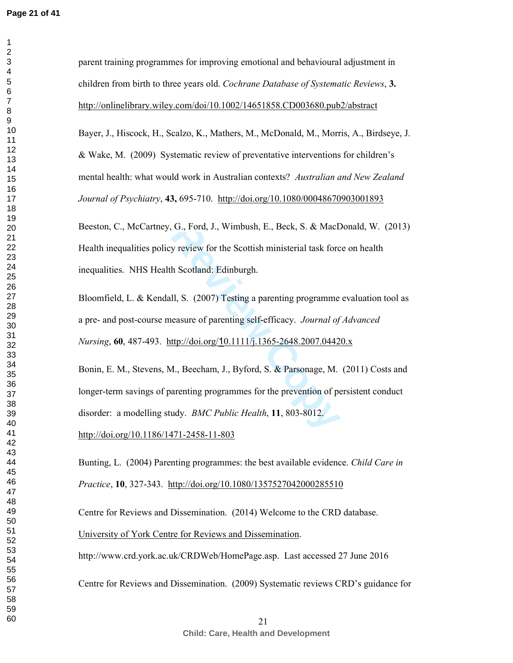$\mathbf{1}$ 

G., Ford, J., Wimbush, E., Beck, S. & MacD<br>y review for the Scottish ministerial task forc<br>h Scotland: Edinburgh.<br>II, S. (2007) Testing a parenting programme<br>easure of parenting self-efficacy. *Journal of*<br>ttp://doi.org/10 parent training programmes for improving emotional and behavioural adjustment in children from birth to three years old. *Cochrane Database of Systematic Reviews*, **3.**  http://onlinelibrary.wiley.com/doi/10.1002/14651858.CD003680.pub2/abstract Bayer, J., Hiscock, H., Scalzo, K., Mathers, M., McDonald, M., Morris, A., Birdseye, J. & Wake, M. (2009) Systematic review of preventative interventions for children's mental health: what would work in Australian contexts? *Australian and New Zealand Journal of Psychiatry*, **43,** 695-710. http://doi.org/10.1080/00048670903001893 Beeston, C., McCartney, G., Ford, J., Wimbush, E., Beck, S. & MacDonald, W. (2013) Health inequalities policy review for the Scottish ministerial task force on health inequalities. NHS Health Scotland: Edinburgh. Bloomfield, L. & Kendall, S. (2007) Testing a parenting programme evaluation tool as a pre- and post-course measure of parenting self-efficacy. *Journal of Advanced Nursing*, **60**, 487-493. http://doi.org/ 10.1111/j.1365-2648.2007.04420.x Bonin, E. M., Stevens, M., Beecham, J., Byford, S. & Parsonage, M. (2011) Costs and longer-term savings of parenting programmes for the prevention of persistent conduct disorder: a modelling study. *BMC Public Health*, **11**, 803-8012. http://doi.org/10.1186/1471-2458-11-803 Bunting, L. (2004) Parenting programmes: the best available evidence. *Child Care in Practice*, **10**, 327-343. http://doi.org/10.1080/1357527042000285510 Centre for Reviews and Dissemination. (2014) Welcome to the CRD database. University of York Centre for Reviews and Dissemination. http://www.crd.york.ac.uk/CRDWeb/HomePage.asp. Last accessed 27 June 2016

Centre for Reviews and Dissemination. (2009) Systematic reviews CRD's guidance for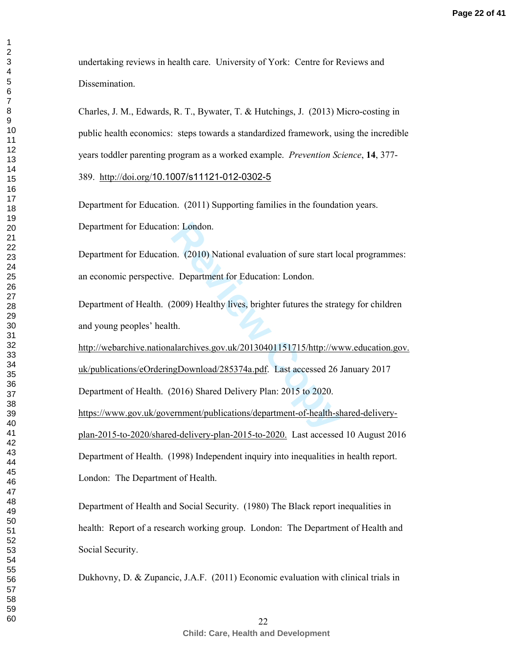undertaking reviews in health care. University of York: Centre for Reviews and Dissemination.

Charles, J. M., Edwards, R. T., Bywater, T. & Hutchings, J. (2013) Micro-costing in public health economics: steps towards a standardized framework, using the incredible years toddler parenting program as a worked example. *Prevention Science*, **14**, 377-

389. http://doi.org/10.1007/s11121-012-0302-5

Department for Education. (2011) Supporting families in the foundation years. Department for Education: London.

Department for Education. (2010) National evaluation of sure start local programmes: an economic perspective. Department for Education: London.

Department of Health. (2009) Healthy lives, brighter futures the strategy for children and young peoples' health.

on: London.<br> **Review Copy)** National evaluation of sure start lc.<br> **Repartment for Education: London.**<br> **Review Copy)** Healthy lives, brighter futures the strat<br>
th.<br> **Review Copy** Review Copy 20130401151715/http://ww<br> **Re** http://webarchive.nationalarchives.gov.uk/20130401151715/http://www.education.gov. uk/publications/eOrderingDownload/285374a.pdf. Last accessed 26 January 2017 Department of Health. (2016) Shared Delivery Plan: 2015 to 2020.

https://www.gov.uk/government/publications/department-of-health-shared-deliveryplan-2015-to-2020/shared-delivery-plan-2015-to-2020. Last accessed 10 August 2016 Department of Health. (1998) Independent inquiry into inequalities in health report. London: The Department of Health.

Department of Health and Social Security. (1980) The Black report inequalities in health: Report of a research working group. London: The Department of Health and Social Security.

Dukhovny, D. & Zupancic, J.A.F. (2011) Economic evaluation with clinical trials in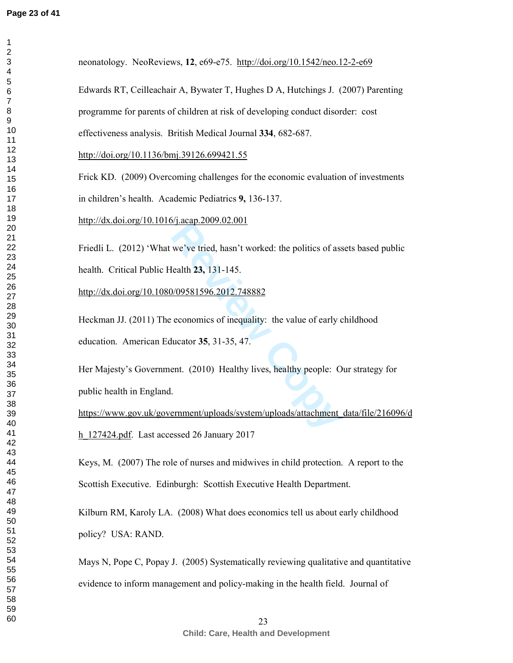$\mathbf 1$  $\overline{2}$  $\overline{\mathbf{4}}$  $\overline{7}$  $\,8\,$ 

| neonatology. NeoReviews, 12, e69-e75. http://doi.org/10.1542/neo.12-2-e69               |
|-----------------------------------------------------------------------------------------|
| Edwards RT, Ceilleachair A, Bywater T, Hughes D A, Hutchings J. (2007) Parenting        |
| programme for parents of children at risk of developing conduct disorder: cost          |
| effectiveness analysis. British Medical Journal 334, 682-687.                           |
| http://doi.org/10.1136/bmj.39126.699421.55                                              |
| Frick KD. (2009) Overcoming challenges for the economic evaluation of investments       |
| in children's health. Academic Pediatrics 9, 136-137.                                   |
| http://dx.doi.org/10.1016/j.acap.2009.02.001                                            |
| Friedli L. (2012) 'What we've tried, hasn't worked: the politics of assets based public |
| health. Critical Public Health 23, 131-145.                                             |
| http://dx.doi.org/10.1080/09581596.2012.748882                                          |
| Heckman JJ. (2011) The economics of inequality: the value of early childhood            |
| education. American Educator 35, 31-35, 47.                                             |
| Her Majesty's Government. (2010) Healthy lives, healthy people: Our strategy for        |
| public health in England.                                                               |
| https://www.gov.uk/government/uploads/system/uploads/attachment_data/file/216096/d      |
| $h$ 127424.pdf. Last accessed 26 January 2017                                           |
| Keys, M. (2007) The role of nurses and midwives in child protection. A report to the    |
| Scottish Executive. Edinburgh: Scottish Executive Health Department.                    |
| Kilburn RM, Karoly LA. (2008) What does economics tell us about early childhood         |
| policy? USA: RAND.                                                                      |
| Mays N, Pope C, Popay J. (2005) Systematically reviewing qualitative and quantitative   |
| evidence to inform management and policy-making in the health field. Journal of         |
| 23                                                                                      |
|                                                                                         |

**Child: Care, Health and Development**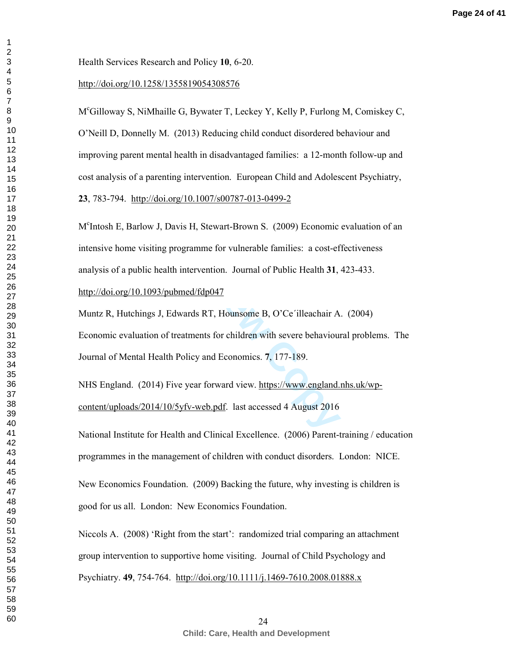http://doi.org/10.1258/1355819054308576<br>M<sup>c</sup>Gilloway S, NiMhaille G, Bywater T, Leckey Y, Kelly P, Furlong M, Comiskey C,

O'Neill D, Donnelly M. (2013) Reducing child conduct disordered behaviour and improving parent mental health in disadvantaged families: a 12-month follow-up and cost analysis of a parenting intervention. European Child and Adolescent Psychiatry,

avis H, Stewart-Brown S. (2009) Economic<br>programme for vulnerable families: a cost-ef<br>th intervention. Journal of Public Health 31,<br>ubmed/fdp047<br>dwards RT, Hounsome B, O'Ce'illeachair A<br>treatments for children with severe , 783-794. http://doi.org/10.1007/s00787-013-0499-2<br>M<sup>c</sup>Intosh E, Barlow J, Davis H, Stewart-Brown S. (2009) Economic evaluation of an intensive home visiting programme for vulnerable families: a cost-effectiveness analysis of a public health intervention. Journal of Public Health **31**, 423-433.

http://doi.org/10.1093/pubmed/fdp047

Muntz R, Hutchings J, Edwards RT, Hounsome B, O'Ce´illeachair A. (2004) Economic evaluation of treatments for children with severe behavioural problems. The Journal of Mental Health Policy and Economics. **7**, 177-189.

NHS England. (2014) Five year forward view. https://www.england.nhs.uk/wpcontent/uploads/2014/10/5yfv-web.pdf. last accessed 4 August 2016

National Institute for Health and Clinical Excellence. (2006) Parent-training / education programmes in the management of children with conduct disorders. London: NICE.

New Economics Foundation. (2009) Backing the future, why investing is children is good for us all. London: New Economics Foundation.

Niccols A. (2008) 'Right from the start': randomized trial comparing an attachment group intervention to supportive home visiting. Journal of Child Psychology and Psychiatry. **49**, 754-764. http://doi.org/10.1111/j.1469-7610.2008.01888.x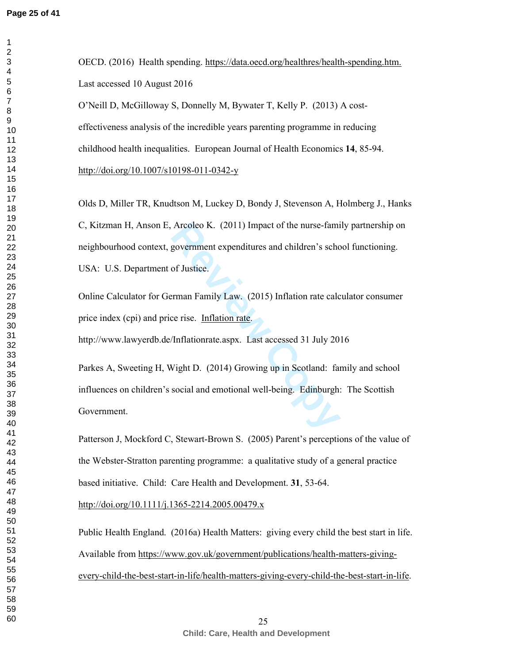$\mathbf{1}$ 

OECD. (2016) Health spending. https://data.oecd.org/healthres/health-spending.htm. Last accessed 10 August 2016

O'Neill D, McGilloway S, Donnelly M, Bywater T, Kelly P. (2013) A costeffectiveness analysis of the incredible years parenting programme in reducing childhood health inequalities. European Journal of Health Economics **14**, 85-94. http://doi.org/10.1007/s10198-011-0342-y

Olds D, Miller TR, Knudtson M, Luckey D, Bondy J, Stevenson A, Holmberg J., Hanks C, Kitzman H, Anson E, Arcoleo K. (2011) Impact of the nurse-family partnership on neighbourhood context, government expenditures and children's school functioning. USA: U.S. Department of Justice.

Online Calculator for German Family Law. (2015) Inflation rate calculator consumer price index (cpi) and price rise. Inflation rate. http://www.lawyerdb.de/Inflationrate.aspx. Last accessed 31 July 2016

Arcoleo K. (2011) Impact of the nurse-fami<br>government expenditures and children's schoof Justice.<br>Figure 2.15 and Separation 1.15 and Figure 2.15 and Figure 2.15 and Table 2.15 and Separation 1.15 and Separation 1.15 and S Parkes A, Sweeting H, Wight D. (2014) Growing up in Scotland: family and school influences on children's social and emotional well-being. Edinburgh: The Scottish Government.

Patterson J, Mockford C, Stewart-Brown S. (2005) Parent's perceptions of the value of the Webster-Stratton parenting programme: a qualitative study of a general practice based initiative. Child: Care Health and Development. **31**, 53-64.

http://doi.org/10.1111/j.1365-2214.2005.00479.x

Public Health England. (2016a) Health Matters: giving every child the best start in life. Available from https://www.gov.uk/government/publications/health-matters-givingevery-child-the-best-start-in-life/health-matters-giving-every-child-the-best-start-in-life.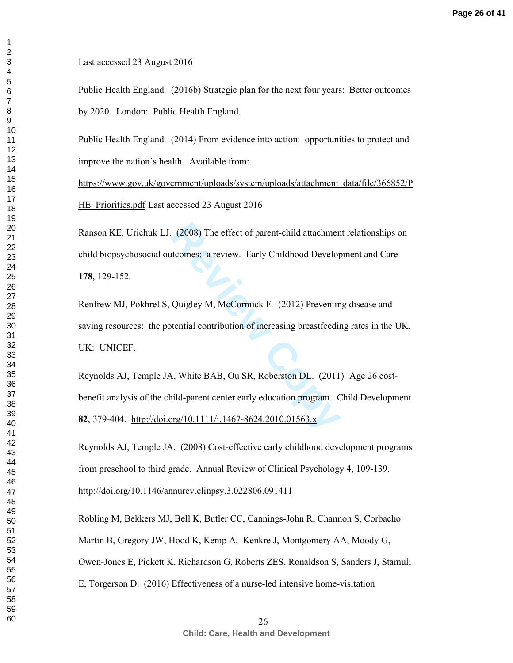Last accessed 23 August 2016

Public Health England. (2016b) Strategic plan for the next four years: Better outcomes by 2020. London: Public Health England.

Public Health England. (2014) From evidence into action: opportunities to protect and improve the nation's health. Available from:

https://www.gov.uk/government/uploads/system/uploads/attachment\_data/file/366852/P HE Priorities.pdf Last accessed 23 August 2016

Ranson KE, Urichuk LJ. (2008) The effect of parent-child attachment relationships on child biopsychosocial outcomes: a review. Early Childhood Development and Care , 129-152.

Renfrew MJ, Pokhrel S, Quigley M, McCormick F. (2012) Preventing disease and saving resources: the potential contribution of increasing breastfeeding rates in the UK. UK: UNICEF.

(2008) The effect of parent-child attachment<br>tromes: a review. Early Childhood Develop<br>Quigley M, McCormick F. (2012) Preventin<br>tential contribution of increasing breastfeedin<br>A, White BAB, Ou SR, Roberston DL. (2011<br>nild Reynolds AJ, Temple JA, White BAB, Ou SR, Roberston DL. (2011) Age 26 cost benefit analysis of the child-parent center early education program. Child Development , 379-404. http://doi.org/10.1111/j.1467-8624.2010.01563.x

Reynolds AJ, Temple JA. (2008) Cost-effective early childhood development programs from preschool to third grade. Annual Review of Clinical Psychology **4**, 109-139.

http://doi.org/10.1146/annurev.clinpsy.3.022806.091411

Robling M, Bekkers MJ, Bell K, Butler CC, Cannings-John R, Channon S, Corbacho Martin B, Gregory JW, Hood K, Kemp A, Kenkre J, Montgomery AA, Moody G, Owen-Jones E, Pickett K, Richardson G, Roberts ZES, Ronaldson S, Sanders J, Stamuli E, Torgerson D. (2016) Effectiveness of a nurse-led intensive home-visitation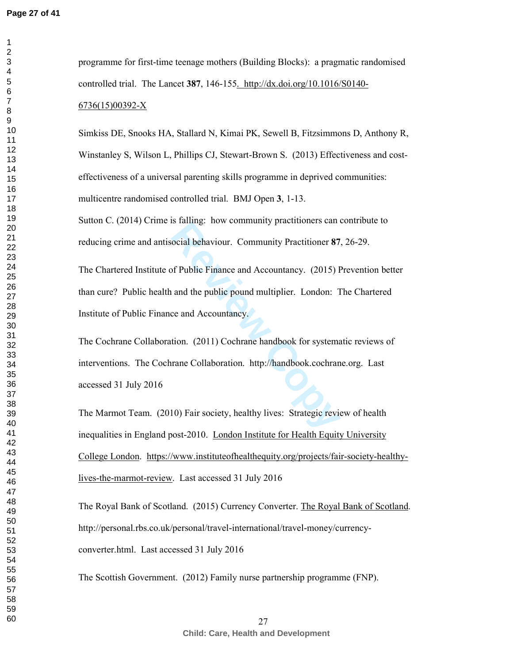Simkiss DE, Snooks HA, Stallard N, Kimai PK, Sewell B, Fitzsimmons D, Anthony R, Winstanley S, Wilson L, Phillips CJ, Stewart-Brown S. (2013) Effectiveness and costeffectiveness of a universal parenting skills programme in deprived communities: multicentre randomised controlled trial. BMJ Open **3**, 1-13.

Sutton C. (2014) Crime is falling: how community practitioners can contribute to reducing crime and antisocial behaviour. Community Practitioner **87**, 26-29.

ocial behaviour. Community practitioner 87<br>
ocial behaviour. Community Practitioner 87<br>
of Public Finance and Accountancy. (2015) F<br>
and the public pound multiplier. London: T<br>
ce and Accountancy.<br>
tion. (2011) Cochrane ha The Chartered Institute of Public Finance and Accountancy. (2015) Prevention better than cure? Public health and the public pound multiplier. London: The Chartered Institute of Public Finance and Accountancy.

The Cochrane Collaboration. (2011) Cochrane handbook for systematic reviews of interventions. The Cochrane Collaboration. http://handbook.cochrane.org. Last accessed 31 July 2016

The Marmot Team. (2010) Fair society, healthy lives: Strategic review of health inequalities in England post-2010. London Institute for Health Equity University College London. https://www.instituteofhealthequity.org/projects/fair-society-healthylives-the-marmot-review. Last accessed 31 July 2016

The Royal Bank of Scotland. (2015) Currency Converter. The Royal Bank of Scotland. http://personal.rbs.co.uk/personal/travel-international/travel-money/currencyconverter.html. Last accessed 31 July 2016

The Scottish Government. (2012) Family nurse partnership programme (FNP).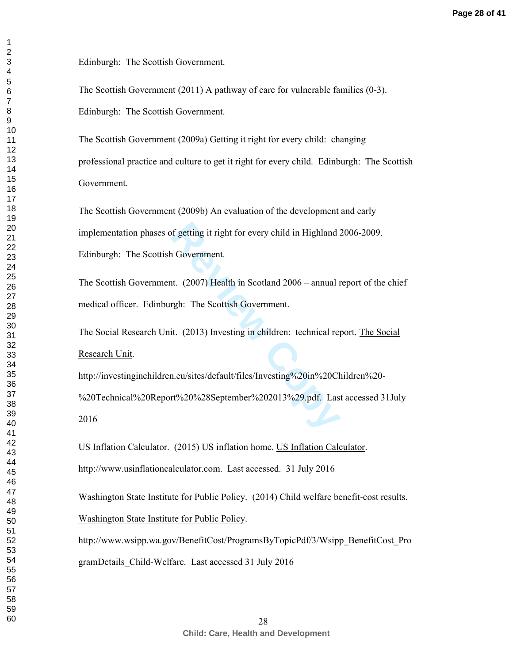Edinburgh: The Scottish Government.

The Scottish Government (2011) A pathway of care for vulnerable families (0-3).

Edinburgh: The Scottish Government.

The Scottish Government (2009a) Getting it right for every child: changing professional practice and culture to get it right for every child. Edinburgh: The Scottish Government.

of getting it right for every child in Highland 2<br>
1 Government.<br>
It. (2007) Health in Scotland 2006 – annual r<br>
rgh: The Scottish Government.<br>
it. (2013) Investing in children: technical req<br>
1.eu/sites/default/files/Inve The Scottish Government (2009b) An evaluation of the development and early implementation phases of getting it right for every child in Highland 2006-2009. Edinburgh: The Scottish Government.

The Scottish Government. (2007) Health in Scotland 2006 – annual report of the chief medical officer. Edinburgh: The Scottish Government.

The Social Research Unit. (2013) Investing in children: technical report. The Social Research Unit.

http://investinginchildren.eu/sites/default/files/Investing%20in%20Children%20-

%20Technical%20Report%20%28September%202013%29.pdf. Last accessed 31July 

US Inflation Calculator. (2015) US inflation home. US Inflation Calculator.

http://www.usinflationcalculator.com. Last accessed. 31 July 2016

Washington State Institute for Public Policy. (2014) Child welfare benefit -cost results.

Washington State Institute for Public Policy.

http://www.wsipp.wa.gov/BenefitCost/ProgramsByTopicPdf/3/Wsipp\_BenefitCost\_Pro gramDetails\_Child-Welfare. Last accessed 31 July 2016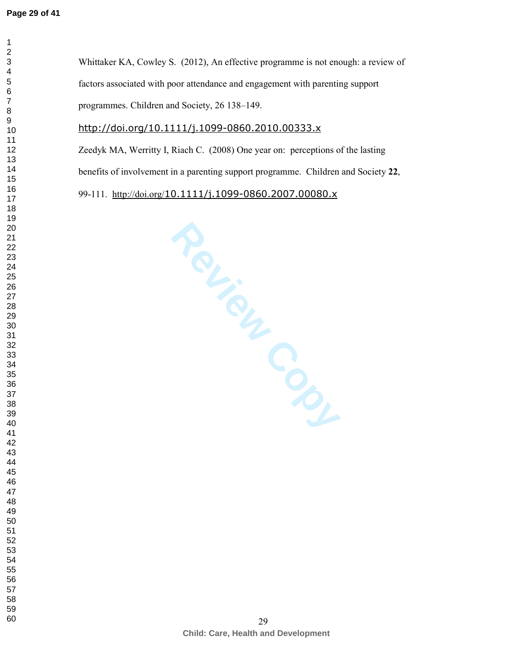**Review Copy** Whittaker KA, Cowley S. (2012), An effective programme is not enough: a review of factors associated with poor attendance and engagement with parenting support programmes. Children and Society, 26 138–149. http://doi.org/10.1111/j.1099-0860.2010.00333.x Zeedyk MA, Werritty I, Riach C. (2008) One year on: perceptions of the lasting benefits of involvement in a parenting support programme. Children and Society **22**, 99-111. http://doi.org/10.1111/j.1099-0860.2007.00080.x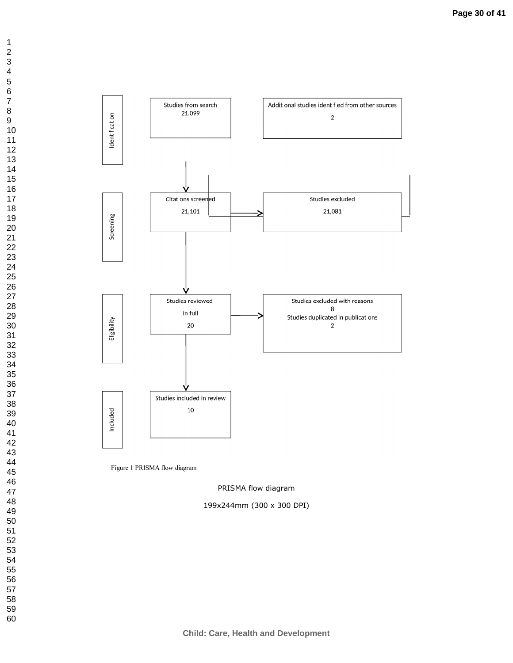

Figure 1 PRISMA flow diagram

PRISMA flow diagram

199x244mm (300 x 300 DPI)

 $\mathbf 1$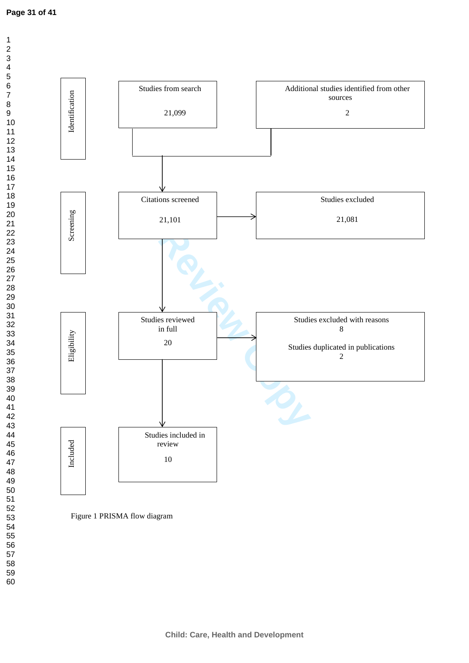$\overline{1}$  $\overline{2}$  $\overline{3}$  $\overline{4}$  $\overline{6}$  $\overline{7}$ 



Figure 1 PRISMA flow diagram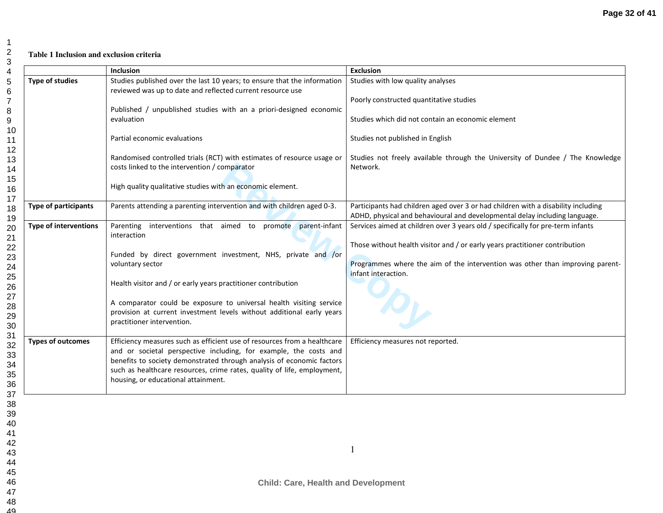## **Table 1 Inclusion and exclusion criteria**

|                              | Inclusion                                                                        | <b>Exclusion</b>                                                                                     |
|------------------------------|----------------------------------------------------------------------------------|------------------------------------------------------------------------------------------------------|
| <b>Type of studies</b>       | Studies published over the last 10 years; to ensure that the information         | Studies with low quality analyses                                                                    |
|                              | reviewed was up to date and reflected current resource use                       |                                                                                                      |
|                              |                                                                                  | Poorly constructed quantitative studies                                                              |
|                              | Published / unpublished studies with an a priori-designed economic<br>evaluation | Studies which did not contain an economic element                                                    |
|                              |                                                                                  |                                                                                                      |
|                              | Partial economic evaluations                                                     | Studies not published in English                                                                     |
|                              | Randomised controlled trials (RCT) with estimates of resource usage or           | Studies not freely available through the University of Dundee / The Knowledge                        |
|                              | costs linked to the intervention / comparator                                    | Network.                                                                                             |
|                              |                                                                                  |                                                                                                      |
|                              | High quality qualitative studies with an economic element.                       |                                                                                                      |
| <b>Type of participants</b>  | Parents attending a parenting intervention and with children aged 0-3.           | Participants had children aged over 3 or had children with a disability including                    |
|                              |                                                                                  | ADHD, physical and behavioural and developmental delay including language.                           |
| <b>Type of interventions</b> | Parenting interventions that aimed to promote parent-infant                      | Services aimed at children over 3 years old / specifically for pre-term infants                      |
|                              | interaction                                                                      |                                                                                                      |
|                              |                                                                                  | Those without health visitor and / or early years practitioner contribution                          |
|                              | Funded by direct government investment, NHS, private and /or                     |                                                                                                      |
|                              | voluntary sector                                                                 | Programmes where the aim of the intervention was other than improving parent-<br>infant interaction. |
|                              | Health visitor and / or early years practitioner contribution                    |                                                                                                      |
|                              |                                                                                  |                                                                                                      |
|                              | A comparator could be exposure to universal health visiting service              |                                                                                                      |
|                              | provision at current investment levels without additional early years            |                                                                                                      |
|                              | practitioner intervention.                                                       |                                                                                                      |
| <b>Types of outcomes</b>     | Efficiency measures such as efficient use of resources from a healthcare         | Efficiency measures not reported.                                                                    |
|                              | and or societal perspective including, for example, the costs and                |                                                                                                      |
|                              | benefits to society demonstrated through analysis of economic factors            |                                                                                                      |
|                              | such as healthcare resources, crime rates, quality of life, employment,          |                                                                                                      |
|                              | housing, or educational attainment.                                              |                                                                                                      |
|                              |                                                                                  |                                                                                                      |
|                              |                                                                                  |                                                                                                      |
|                              |                                                                                  |                                                                                                      |
|                              |                                                                                  |                                                                                                      |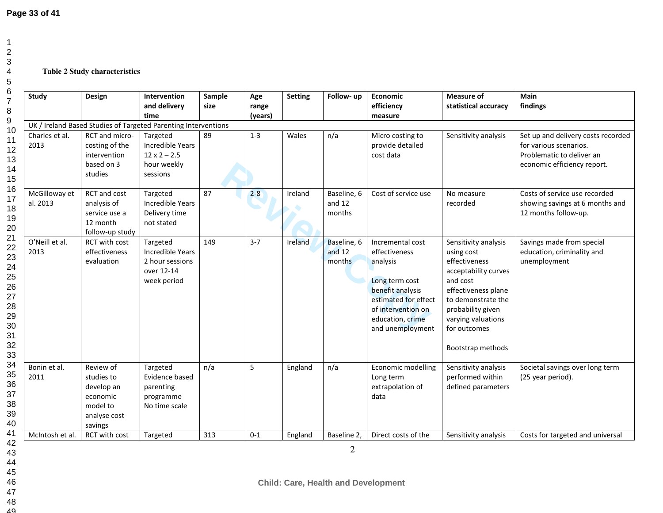12

## **Table 2 Study characteristics**

| Study                     | Design                                                                                   | Intervention<br>and delivery<br>time                                                  | Sample<br>size | Age<br>range<br>(years) | <b>Setting</b> | Follow-up                         | <b>Economic</b><br>efficiency<br>measure                                                                                                                                  | <b>Measure of</b><br>statistical accuracy                                                                                                                                                                            | Main<br>findings                                                                                                         |
|---------------------------|------------------------------------------------------------------------------------------|---------------------------------------------------------------------------------------|----------------|-------------------------|----------------|-----------------------------------|---------------------------------------------------------------------------------------------------------------------------------------------------------------------------|----------------------------------------------------------------------------------------------------------------------------------------------------------------------------------------------------------------------|--------------------------------------------------------------------------------------------------------------------------|
|                           |                                                                                          | UK / Ireland Based Studies of Targeted Parenting Interventions                        |                |                         |                |                                   |                                                                                                                                                                           |                                                                                                                                                                                                                      |                                                                                                                          |
| Charles et al.<br>2013    | RCT and micro-<br>costing of the<br>intervention<br>based on 3<br>studies                | Targeted<br><b>Incredible Years</b><br>$12 \times 2 - 2.5$<br>hour weekly<br>sessions | 89             | $1 - 3$                 | Wales          | n/a                               | Micro costing to<br>provide detailed<br>cost data                                                                                                                         | Sensitivity analysis                                                                                                                                                                                                 | Set up and delivery costs recorded<br>for various scenarios.<br>Problematic to deliver an<br>economic efficiency report. |
| McGilloway et<br>al. 2013 | RCT and cost<br>analysis of<br>service use a<br>12 month<br>follow-up study              | Targeted<br><b>Incredible Years</b><br>Delivery time<br>not stated                    | 87             | $2 - 8$                 | Ireland        | Baseline, 6<br>and $12$<br>months | Cost of service use                                                                                                                                                       | No measure<br>recorded                                                                                                                                                                                               | Costs of service use recorded<br>showing savings at 6 months and<br>12 months follow-up.                                 |
| O'Neill et al.<br>2013    | RCT with cost<br>effectiveness<br>evaluation                                             | Targeted<br><b>Incredible Years</b><br>2 hour sessions<br>over 12-14<br>week period   | 149            | $3 - 7$                 | Ireland        | Baseline, 6<br>and $12$<br>months | Incremental cost<br>effectiveness<br>analysis<br>Long term cost<br>benefit analysis<br>estimated for effect<br>of intervention on<br>education, crime<br>and unemployment | Sensitivity analysis<br>using cost<br>effectiveness<br>acceptability curves<br>and cost<br>effectiveness plane<br>to demonstrate the<br>probability given<br>varying valuations<br>for outcomes<br>Bootstrap methods | Savings made from special<br>education, criminality and<br>unemployment                                                  |
| Bonin et al.<br>2011      | Review of<br>studies to<br>develop an<br>economic<br>model to<br>analyse cost<br>savings | Targeted<br>Evidence based<br>parenting<br>programme<br>No time scale                 | n/a            | 5                       | England        | n/a                               | Economic modelling<br>Long term<br>extrapolation of<br>data                                                                                                               | Sensitivity analysis<br>performed within<br>defined parameters                                                                                                                                                       | Societal savings over long term<br>(25 year period).                                                                     |
| McIntosh et al.           | RCT with cost                                                                            | Targeted                                                                              | 313            | $0 - 1$                 | England        | Baseline 2,                       | Direct costs of the                                                                                                                                                       | Sensitivity analysis                                                                                                                                                                                                 | Costs for targeted and universal                                                                                         |
|                           |                                                                                          |                                                                                       |                |                         |                | $\overline{2}$                    |                                                                                                                                                                           |                                                                                                                                                                                                                      |                                                                                                                          |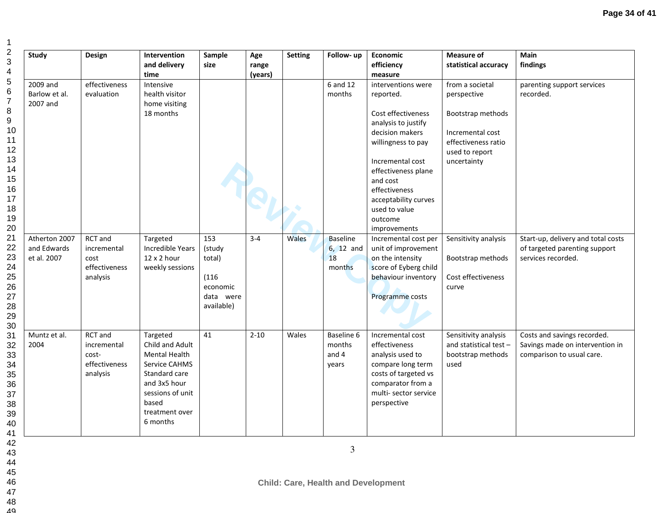| <b>Study</b>                                | Design                                                       | Intervention<br>and delivery<br>time                                                                                                                             | Sample<br>size                                                          | Age<br>range<br>(years) | <b>Setting</b> | Follow-up                                    | Economic<br>efficiency<br>measure                                                                                                                                                                                                                                 | <b>Measure of</b><br>statistical accuracy                                                                                       | Main<br>findings                                                                            |
|---------------------------------------------|--------------------------------------------------------------|------------------------------------------------------------------------------------------------------------------------------------------------------------------|-------------------------------------------------------------------------|-------------------------|----------------|----------------------------------------------|-------------------------------------------------------------------------------------------------------------------------------------------------------------------------------------------------------------------------------------------------------------------|---------------------------------------------------------------------------------------------------------------------------------|---------------------------------------------------------------------------------------------|
| 2009 and<br>Barlow et al.<br>2007 and       | effectiveness<br>evaluation                                  | Intensive<br>health visitor<br>home visiting<br>18 months                                                                                                        |                                                                         |                         |                | 6 and 12<br>months                           | interventions were<br>reported.<br>Cost effectiveness<br>analysis to justify<br>decision makers<br>willingness to pay<br>Incremental cost<br>effectiveness plane<br>and cost<br>effectiveness<br>acceptability curves<br>used to value<br>outcome<br>improvements | from a societal<br>perspective<br>Bootstrap methods<br>Incremental cost<br>effectiveness ratio<br>used to report<br>uncertainty | parenting support services<br>recorded.                                                     |
| Atherton 2007<br>and Edwards<br>et al. 2007 | RCT and<br>incremental<br>cost<br>effectiveness<br>analysis  | Targeted<br>Incredible Years<br>12 x 2 hour<br>weekly sessions                                                                                                   | 153<br>(study<br>total)<br>(116)<br>economic<br>data were<br>available) | $3 - 4$                 | Wales          | <b>Baseline</b><br>6, 12 and<br>18<br>months | Incremental cost per<br>unit of improvement<br>on the intensity<br>score of Eyberg child<br>behaviour inventory<br>Programme costs                                                                                                                                | Sensitivity analysis<br>Bootstrap methods<br>Cost effectiveness<br>curve                                                        | Start-up, delivery and total costs<br>of targeted parenting support<br>services recorded.   |
| Muntz et al.<br>2004                        | RCT and<br>incremental<br>cost-<br>effectiveness<br>analysis | Targeted<br>Child and Adult<br><b>Mental Health</b><br>Service CAHMS<br>Standard care<br>and 3x5 hour<br>sessions of unit<br>based<br>treatment over<br>6 months | 41                                                                      | $2 - 10$                | Wales          | Baseline 6<br>months<br>and 4<br>years       | Incremental cost<br>effectiveness<br>analysis used to<br>compare long term<br>costs of targeted vs<br>comparator from a<br>multi- sector service<br>perspective                                                                                                   | Sensitivity analysis<br>and statistical test -<br>bootstrap methods<br>used                                                     | Costs and savings recorded.<br>Savings made on intervention in<br>comparison to usual care. |

49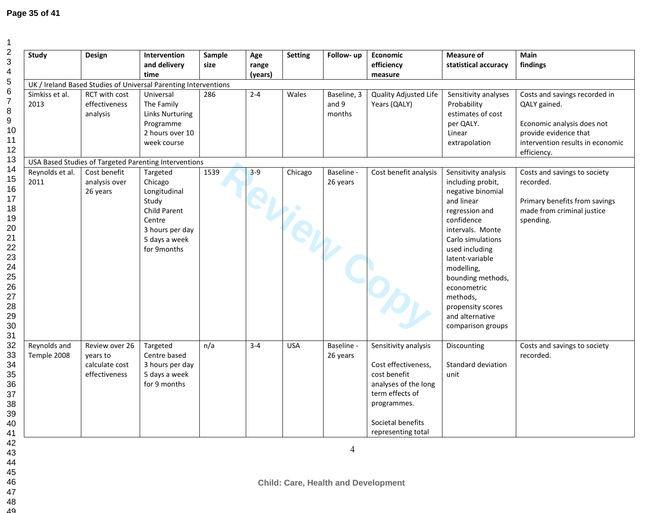# **Page 35 of 41**

| <b>Study</b>                | Design                                                        | <b>Intervention</b><br>and delivery<br>time                                                                               | Sample<br>size | Age<br>range<br>(years) | <b>Setting</b> | Follow-up                      | Economic<br>efficiency<br>measure                                                                                                                                | <b>Measure of</b><br>statistical accuracy                                                                                                                                                                                                                                                                             | <b>Main</b><br>findings                                                                                                                                 |
|-----------------------------|---------------------------------------------------------------|---------------------------------------------------------------------------------------------------------------------------|----------------|-------------------------|----------------|--------------------------------|------------------------------------------------------------------------------------------------------------------------------------------------------------------|-----------------------------------------------------------------------------------------------------------------------------------------------------------------------------------------------------------------------------------------------------------------------------------------------------------------------|---------------------------------------------------------------------------------------------------------------------------------------------------------|
|                             |                                                               | UK / Ireland Based Studies of Universal Parenting Interventions                                                           |                |                         |                |                                |                                                                                                                                                                  |                                                                                                                                                                                                                                                                                                                       |                                                                                                                                                         |
| Simkiss et al.<br>2013      | RCT with cost<br>effectiveness<br>analysis                    | Universal<br>The Family<br><b>Links Nurturing</b><br>Programme<br>2 hours over 10<br>week course                          | 286            | $2 - 4$                 | Wales          | Baseline, 3<br>and 9<br>months | Quality Adjusted Life<br>Years (QALY)                                                                                                                            | Sensitivity analyses<br>Probability<br>estimates of cost<br>per QALY.<br>Linear<br>extrapolation                                                                                                                                                                                                                      | Costs and savings recorded in<br>QALY gained.<br>Economic analysis does not<br>provide evidence that<br>intervention results in economic<br>efficiency. |
|                             |                                                               | USA Based Studies of Targeted Parenting Interventions                                                                     |                |                         |                |                                |                                                                                                                                                                  |                                                                                                                                                                                                                                                                                                                       |                                                                                                                                                         |
| Reynolds et al.<br>2011     | Cost benefit<br>analysis over<br>26 years                     | Targeted<br>Chicago<br>Longitudinal<br>Study<br>Child Parent<br>Centre<br>3 hours per day<br>5 days a week<br>for 9months | 1539           | $3 - 9$                 | Chicago        | Baseline -<br>26 years         | Cost benefit analysis                                                                                                                                            | Sensitivity analysis<br>including probit,<br>negative binomial<br>and linear<br>regression and<br>confidence<br>intervals. Monte<br>Carlo simulations<br>used including<br>latent-variable<br>modelling,<br>bounding methods,<br>econometric<br>methods,<br>propensity scores<br>and alternative<br>comparison groups | Costs and savings to society<br>recorded.<br>Primary benefits from savings<br>made from criminal justice<br>spending.                                   |
| Reynolds and<br>Temple 2008 | Review over 26<br>years to<br>calculate cost<br>effectiveness | Targeted<br>Centre based<br>3 hours per day<br>5 days a week<br>for 9 months                                              | n/a            | $3 - 4$                 | <b>USA</b>     | Baseline -<br>26 years         | Sensitivity analysis<br>Cost effectiveness,<br>cost benefit<br>analyses of the long<br>term effects of<br>programmes.<br>Societal benefits<br>representing total | Discounting<br>Standard deviation<br>unit                                                                                                                                                                                                                                                                             | Costs and savings to society<br>recorded.                                                                                                               |
|                             |                                                               |                                                                                                                           |                |                         |                | 4                              |                                                                                                                                                                  |                                                                                                                                                                                                                                                                                                                       |                                                                                                                                                         |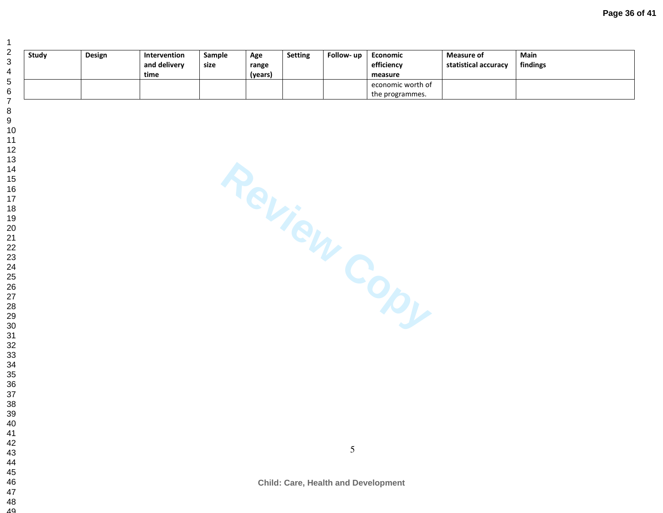| Study | Design | <b>Intervention</b><br>and delivery<br>time | Sample<br>size | Age<br>range<br>(years) | <b>Setting</b> | Follow- up | Economic<br>efficiency<br>measure | Measure of<br>statistical accuracy | Main<br>findings |
|-------|--------|---------------------------------------------|----------------|-------------------------|----------------|------------|-----------------------------------|------------------------------------|------------------|
|       |        |                                             |                |                         |                |            | economic worth of                 |                                    |                  |
|       |        |                                             |                |                         |                |            | the programmes.                   |                                    |                  |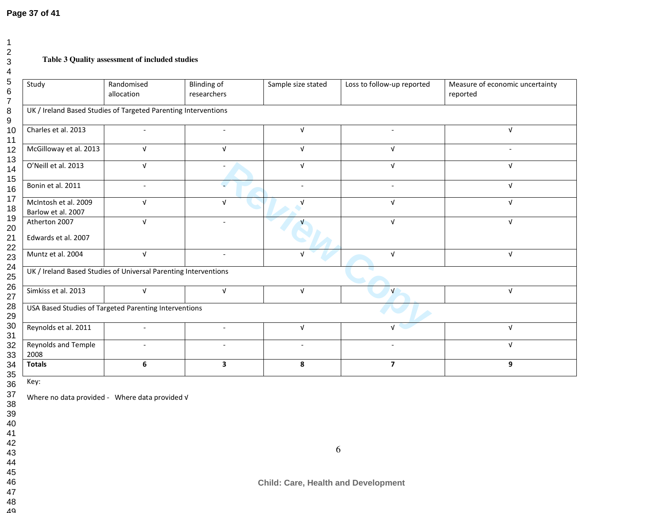# **Page 37 of 41**

## **Table 3 Quality assessment of included studies**

| Study                                      | Randomised<br>allocation                                        | <b>Blinding of</b><br>researchers | Sample size stated | Loss to follow-up reported | Measure of economic uncertainty<br>reported |
|--------------------------------------------|-----------------------------------------------------------------|-----------------------------------|--------------------|----------------------------|---------------------------------------------|
|                                            | UK / Ireland Based Studies of Targeted Parenting Interventions  |                                   |                    |                            |                                             |
| Charles et al. 2013                        | $\sim$                                                          | ÷,                                | $\sqrt{ }$         | $\blacksquare$             | $\sqrt{ }$                                  |
| McGilloway et al. 2013                     | $\sqrt{ }$                                                      | $\sqrt{ }$                        | $\sqrt{ }$         | $\sqrt{ }$                 |                                             |
| O'Neill et al. 2013                        | $\sqrt{ }$                                                      | $\ddot{\phantom{1}}$              | $\sqrt{ }$         | $\sqrt{ }$                 | $\sqrt{ }$                                  |
| Bonin et al. 2011                          |                                                                 |                                   |                    |                            | $\sqrt{ }$                                  |
| McIntosh et al. 2009<br>Barlow et al. 2007 | $\sqrt{ }$                                                      | $\sqrt{ }$                        | V                  | $\sqrt{ }$                 | $\sqrt{ }$                                  |
| Atherton 2007<br>Edwards et al. 2007       | $\sqrt{ }$                                                      | $\overline{\phantom{a}}$          |                    | $\sqrt{ }$                 | $\sqrt{ }$                                  |
| Muntz et al. 2004                          | $\sqrt{ }$                                                      | $\overline{\phantom{a}}$          | $\sqrt{ }$         | $\sqrt{ }$                 | $\sqrt{ }$                                  |
|                                            | UK / Ireland Based Studies of Universal Parenting Interventions |                                   |                    |                            |                                             |
| Simkiss et al. 2013                        | $\sqrt{ }$                                                      | $\sqrt{ }$                        | $\sqrt{ }$         | $\mathbf{v}$               | $\sqrt{ }$                                  |
|                                            | USA Based Studies of Targeted Parenting Interventions           |                                   |                    |                            |                                             |
| Reynolds et al. 2011                       | $\sim$                                                          | $\overline{\phantom{a}}$          | $\sqrt{ }$         | $\sqrt{ }$                 | $\sqrt{ }$                                  |
| Reynolds and Temple<br>2008                |                                                                 |                                   |                    |                            | $\sqrt{ }$                                  |
| <b>Totals</b>                              | 6                                                               | 3                                 | 8                  | $\overline{7}$             | 9                                           |

Key:

 47 4849 Where no data provided - Where data provided √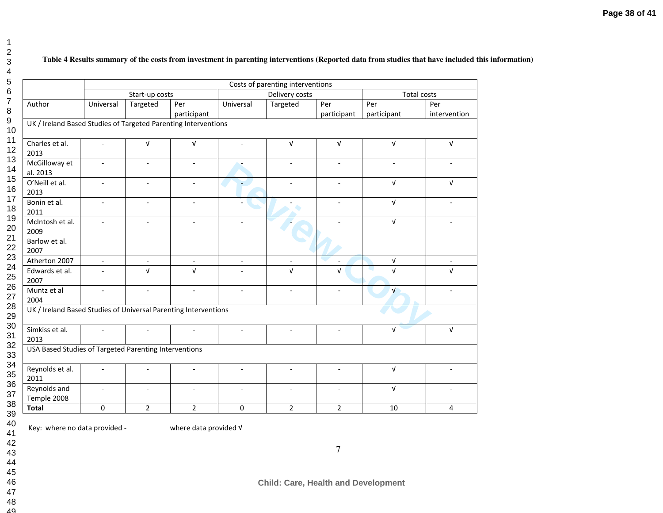## **Table 4 Results summary of the costs from investment in parenting interventions (Reported data from studies that have included this information)**

|                                                                 |                          |                          |                     |                | Costs of parenting interventions |                    |                    |                          |  |  |  |
|-----------------------------------------------------------------|--------------------------|--------------------------|---------------------|----------------|----------------------------------|--------------------|--------------------|--------------------------|--|--|--|
|                                                                 |                          | Start-up costs           |                     |                | Delivery costs                   |                    | <b>Total costs</b> |                          |  |  |  |
| Author                                                          | Universal                | Targeted                 | Per<br>participant  | Universal      | Targeted                         | Per<br>participant | Per<br>participant | Per<br>intervention      |  |  |  |
| UK / Ireland Based Studies of Targeted Parenting Interventions  |                          |                          |                     |                |                                  |                    |                    |                          |  |  |  |
| Charles et al.<br>2013                                          | ÷                        | $\sqrt{ }$               | $\sqrt{ }$          |                | $\sqrt{ }$                       | $\sqrt{ }$         | $\sqrt{ }$         | $\sqrt{ }$               |  |  |  |
| McGilloway et<br>al. 2013                                       | $\blacksquare$           | $\overline{\phantom{a}}$ | $\bar{\phantom{a}}$ |                | $\blacksquare$                   | $\blacksquare$     | $\blacksquare$     | $\overline{\phantom{a}}$ |  |  |  |
| O'Neill et al.<br>2013                                          |                          |                          |                     |                |                                  |                    | $\sqrt{ }$         | $\sqrt{ }$               |  |  |  |
| Bonin et al.<br>2011                                            | $\overline{\phantom{a}}$ | ٠                        |                     |                |                                  |                    | $\sqrt{ }$         |                          |  |  |  |
| McIntosh et al.<br>2009<br>Barlow et al.<br>2007                | $\overline{\phantom{a}}$ | $\overline{a}$           | $\blacksquare$      |                |                                  |                    | $\sqrt{ }$         |                          |  |  |  |
| Atherton 2007                                                   | $\blacksquare$           | $\blacksquare$           |                     |                | $\blacksquare$                   |                    | $\sqrt{ }$         | $\overline{\phantom{a}}$ |  |  |  |
| Edwards et al.<br>2007                                          |                          | $\sqrt{ }$               | $\sqrt{ }$          |                | $\sqrt{ }$                       | $\sqrt{ }$         | $\sqrt{ }$         | $\sqrt{ }$               |  |  |  |
| Muntz et al<br>2004                                             | $\overline{\phantom{a}}$ | L.                       | $\mathbf{r}$        | $\blacksquare$ | $\frac{1}{2}$                    | $\mathbf{r}$       | $\sqrt{ }$         |                          |  |  |  |
| UK / Ireland Based Studies of Universal Parenting Interventions |                          |                          |                     |                |                                  |                    |                    |                          |  |  |  |
| Simkiss et al.<br>2013                                          |                          |                          |                     |                |                                  |                    | $\sqrt{ }$         | $\sqrt{ }$               |  |  |  |
| USA Based Studies of Targeted Parenting Interventions           |                          |                          |                     |                |                                  |                    |                    |                          |  |  |  |
| Reynolds et al.<br>2011                                         |                          |                          | $\equiv$            | ÷.             | ٠                                | ÷                  | $\sqrt{ }$         |                          |  |  |  |
| Reynolds and<br>Temple 2008                                     |                          |                          |                     |                |                                  |                    | $\sqrt{ }$         |                          |  |  |  |
| <b>Total</b>                                                    | $\mathbf 0$              | $\overline{2}$           | $\overline{2}$      | $\mathbf 0$    | $\overline{2}$                   | $\overline{2}$     | 10                 | 4                        |  |  |  |

Key: where no data provided -

where data provided √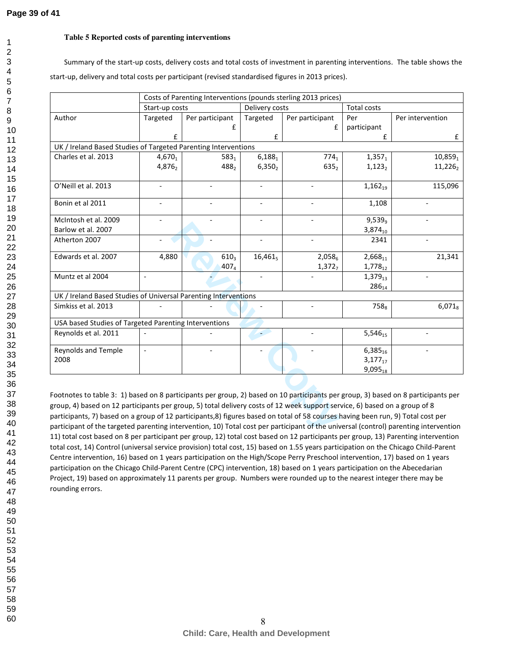1

## **Table 5 Reported costs of parenting interventions**

Summary of the start-up costs, delivery costs and total costs of investment in parenting interventions. The table shows the start-up, delivery and total costs per participant (revised standardised figures in 2013 prices).

|                                                                                                                                                                                                                                                                                                                                                                                                                                                                                                                                                                                                                                                                                |                |                  |                    | Costs of Parenting Interventions (pounds sterling 2013 prices) |                    |                  |  |  |  |  |
|--------------------------------------------------------------------------------------------------------------------------------------------------------------------------------------------------------------------------------------------------------------------------------------------------------------------------------------------------------------------------------------------------------------------------------------------------------------------------------------------------------------------------------------------------------------------------------------------------------------------------------------------------------------------------------|----------------|------------------|--------------------|----------------------------------------------------------------|--------------------|------------------|--|--|--|--|
|                                                                                                                                                                                                                                                                                                                                                                                                                                                                                                                                                                                                                                                                                | Start-up costs |                  | Delivery costs     |                                                                | <b>Total costs</b> |                  |  |  |  |  |
| Author                                                                                                                                                                                                                                                                                                                                                                                                                                                                                                                                                                                                                                                                         | Targeted       | Per participant  | Targeted           | Per participant                                                | Per                | Per intervention |  |  |  |  |
|                                                                                                                                                                                                                                                                                                                                                                                                                                                                                                                                                                                                                                                                                |                | £                |                    | £                                                              | participant        |                  |  |  |  |  |
|                                                                                                                                                                                                                                                                                                                                                                                                                                                                                                                                                                                                                                                                                | £              |                  | £                  |                                                                | £                  | £                |  |  |  |  |
| UK / Ireland Based Studies of Targeted Parenting Interventions                                                                                                                                                                                                                                                                                                                                                                                                                                                                                                                                                                                                                 |                |                  |                    |                                                                |                    |                  |  |  |  |  |
| Charles et al. 2013                                                                                                                                                                                                                                                                                                                                                                                                                                                                                                                                                                                                                                                            | $4,670_1$      | $583_1$          | $6,188_1$          | $774_1$                                                        | $1,357_1$          | 10,8591          |  |  |  |  |
|                                                                                                                                                                                                                                                                                                                                                                                                                                                                                                                                                                                                                                                                                | 4,8762         | 488,             | 6,350 <sub>2</sub> | 635 <sub>2</sub>                                               | $1,123_2$          | 11,2262          |  |  |  |  |
| O'Neill et al. 2013                                                                                                                                                                                                                                                                                                                                                                                                                                                                                                                                                                                                                                                            |                |                  |                    |                                                                | $1,162_{19}$       | 115,096          |  |  |  |  |
| Bonin et al 2011                                                                                                                                                                                                                                                                                                                                                                                                                                                                                                                                                                                                                                                               | ÷,             |                  | $\bar{a}$          |                                                                | 1,108              |                  |  |  |  |  |
| McIntosh et al. 2009                                                                                                                                                                                                                                                                                                                                                                                                                                                                                                                                                                                                                                                           |                |                  |                    |                                                                | 9,539 <sub>9</sub> |                  |  |  |  |  |
| Barlow et al. 2007                                                                                                                                                                                                                                                                                                                                                                                                                                                                                                                                                                                                                                                             |                |                  |                    |                                                                | 3,87410            |                  |  |  |  |  |
| Atherton 2007                                                                                                                                                                                                                                                                                                                                                                                                                                                                                                                                                                                                                                                                  |                |                  | $\bar{a}$          |                                                                | 2341               |                  |  |  |  |  |
| Edwards et al. 2007                                                                                                                                                                                                                                                                                                                                                                                                                                                                                                                                                                                                                                                            | 4,880          | 610 <sub>3</sub> | $16,461_5$         | 2,058 <sub>6</sub>                                             | $2,668_{11}$       | 21,341           |  |  |  |  |
|                                                                                                                                                                                                                                                                                                                                                                                                                                                                                                                                                                                                                                                                                |                | 4074             |                    | 1,372 <sub>7</sub>                                             | $1,778_{12}$       |                  |  |  |  |  |
| Muntz et al 2004                                                                                                                                                                                                                                                                                                                                                                                                                                                                                                                                                                                                                                                               |                |                  |                    |                                                                | $1,379_{13}$       |                  |  |  |  |  |
|                                                                                                                                                                                                                                                                                                                                                                                                                                                                                                                                                                                                                                                                                |                |                  |                    |                                                                | 286 <sub>14</sub>  |                  |  |  |  |  |
| UK / Ireland Based Studies of Universal Parenting Interventions                                                                                                                                                                                                                                                                                                                                                                                                                                                                                                                                                                                                                |                |                  |                    |                                                                |                    |                  |  |  |  |  |
| Simkiss et al. 2013                                                                                                                                                                                                                                                                                                                                                                                                                                                                                                                                                                                                                                                            |                |                  |                    |                                                                | 758 <sub>s</sub>   | $6,071_8$        |  |  |  |  |
| USA based Studies of Targeted Parenting Interventions                                                                                                                                                                                                                                                                                                                                                                                                                                                                                                                                                                                                                          |                |                  |                    |                                                                |                    |                  |  |  |  |  |
| Reynolds et al. 2011                                                                                                                                                                                                                                                                                                                                                                                                                                                                                                                                                                                                                                                           |                |                  |                    |                                                                | $5,546_{15}$       |                  |  |  |  |  |
| <b>Reynolds and Temple</b>                                                                                                                                                                                                                                                                                                                                                                                                                                                                                                                                                                                                                                                     |                |                  |                    |                                                                | $6,385_{16}$       |                  |  |  |  |  |
| 2008                                                                                                                                                                                                                                                                                                                                                                                                                                                                                                                                                                                                                                                                           |                |                  |                    |                                                                | $3,177_{17}$       |                  |  |  |  |  |
|                                                                                                                                                                                                                                                                                                                                                                                                                                                                                                                                                                                                                                                                                |                |                  |                    |                                                                | $9,095_{18}$       |                  |  |  |  |  |
| Footnotes to table 3: 1) based on 8 participants per group, 2) based on 10 participants per group, 3) based on 8 participants per<br>group, 4) based on 12 participants per group, 5) total delivery costs of 12 week support service, 6) based on a group of 8<br>participants, 7) based on a group of 12 participants,8) figures based on total of 58 courses having been run, 9) Total cost per<br>participant of the targeted parenting intervention, 10) Total cost per participant of the universal (control) parenting intervention<br>11) total cost based on 8 nor participant per group 12) total cost based on 12 participants per group 12) Parenting intervention |                |                  |                    |                                                                |                    |                  |  |  |  |  |

Footnotes to table 3: 1) based on 8 participants per group, 2) based on 10 participants per group, 3) based on 8 participants per group, 4) based on 12 participants per group, 5) total delivery costs of 12 week support service, 6) based on a group of 8 participants, 7) based on a group of 12 participants,8) figures based on total of 58 courses having been run, 9) Total cost per participant of the targeted parenting intervention, 10) Total cost per participant of the universal (control) parenting intervention 11) total cost based on 8 per participant per group, 12) total cost based on 12 participants per group, 13) Parenting intervention total cost, 14) Control (universal service provision) total cost, 15) based on 1.55 years participation on the Chicago Child-Parent Centre intervention, 16) based on 1 years participation on the High/Scope Perry Preschool intervention, 17) based on 1 years participation on the Chicago Child-Parent Centre (CPC) intervention, 18) based on 1 years participation on the Abecedarian Project, 19) based on approximately 11 parents per group. Numbers were rounded up to the nearest integer there may be rounding errors.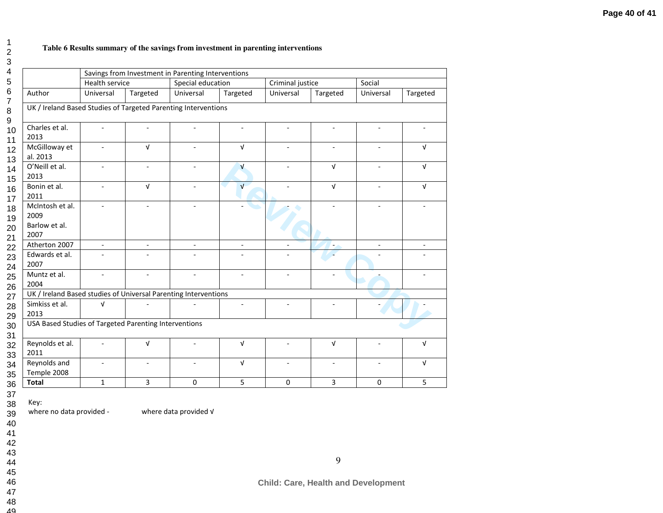### **Table 6 Results summary of the savings from investment in parenting interventions**

|                                                                 |                          |                          | Savings from Investment in Parenting Interventions |                          |                  |                |                          |            |
|-----------------------------------------------------------------|--------------------------|--------------------------|----------------------------------------------------|--------------------------|------------------|----------------|--------------------------|------------|
|                                                                 | Health service           |                          | Special education                                  |                          | Criminal justice |                | Social                   |            |
| Author                                                          | Universal                | Targeted                 | Universal                                          | Targeted                 | Universal        | Targeted       | Universal                | Targeted   |
| UK / Ireland Based Studies of Targeted Parenting Interventions  |                          |                          |                                                    |                          |                  |                |                          |            |
| Charles et al.<br>2013                                          | $\blacksquare$           | ÷,                       |                                                    | $\blacksquare$           | $\blacksquare$   | $\blacksquare$ | $\blacksquare$           |            |
| McGilloway et<br>al. 2013                                       |                          | $\sqrt{ }$               |                                                    | $\sqrt{ }$               |                  |                |                          | $\sqrt{ }$ |
| O'Neill et al.<br>2013                                          | ä,                       | $\overline{\phantom{a}}$ |                                                    | $\mathbf{v}$             |                  | $\sqrt{ }$     |                          | $\sqrt{ }$ |
| Bonin et al.<br>2011                                            | ٠                        | $\mathsf{V}$             |                                                    | $\mathbf v$              |                  | $\sqrt{ }$     |                          | $\sqrt{ }$ |
| McIntosh et al.<br>2009<br>Barlow et al.<br>2007                |                          | $\overline{\phantom{a}}$ | $\overline{\phantom{a}}$                           |                          |                  |                | ÷                        |            |
| Atherton 2007                                                   | $\overline{\phantom{a}}$ | $\overline{\phantom{a}}$ | $\blacksquare$                                     | $\overline{\phantom{a}}$ |                  |                | $\overline{\phantom{a}}$ |            |
| Edwards et al.<br>2007                                          |                          |                          |                                                    |                          |                  |                |                          |            |
| Muntz et al.<br>2004                                            |                          |                          |                                                    |                          |                  |                |                          |            |
| UK / Ireland Based studies of Universal Parenting Interventions |                          |                          |                                                    |                          |                  |                |                          |            |
| Simkiss et al.<br>2013                                          | $\sqrt{ }$               |                          |                                                    |                          |                  |                |                          |            |
| USA Based Studies of Targeted Parenting Interventions           |                          |                          |                                                    |                          |                  |                |                          |            |
| Reynolds et al.<br>2011                                         |                          | $\sqrt{ }$               |                                                    | $\sqrt{ }$               | $\overline{a}$   | $\sqrt{ }$     |                          | $\sqrt{ }$ |
| Reynolds and<br>Temple 2008                                     |                          |                          |                                                    | $\sqrt{ }$               |                  |                |                          | $\sqrt{ }$ |
| <b>Total</b>                                                    | $\mathbf{1}$             | 3                        | $\mathbf 0$                                        | 5                        | $\Omega$         | 3              | $\Omega$                 | 5          |

Key:

where no data provided - where data provided √

 3940

- 41
- 42
- 43
- 44
- 45
- 4647
- 48
- 49

**Child: Care, Health and Development**